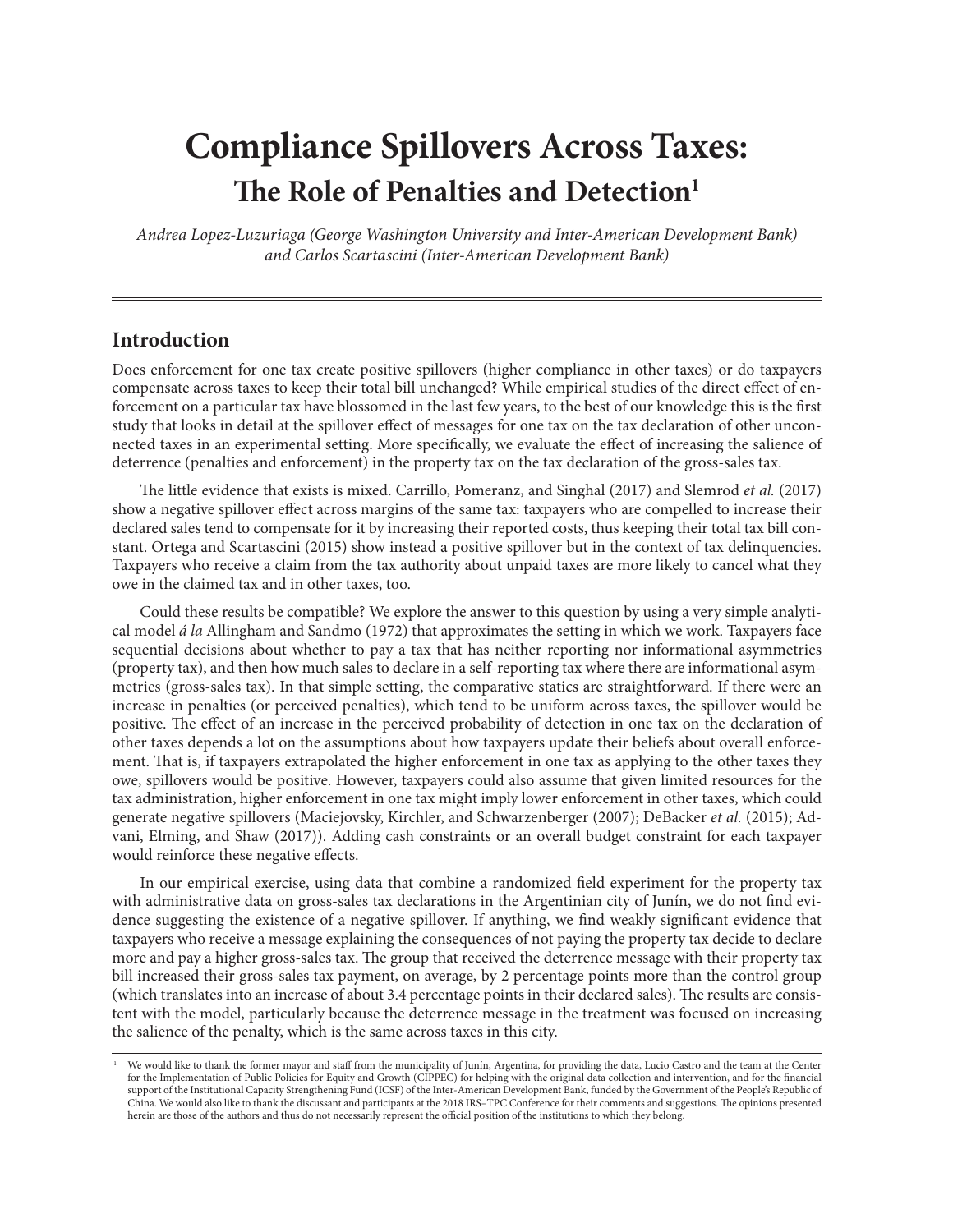# **Compliance Spillovers Across Taxes: The Role of Penalties and Detection**<sup>1</sup>

*Andrea Lopez-Luzuriaga (George Washington University and Inter-American Development Bank) and Carlos Scartascini (Inter-American Development Bank)*

# **Introduction**

Does enforcement for one tax create positive spillovers (higher compliance in other taxes) or do taxpayers compensate across taxes to keep their total bill unchanged? While empirical studies of the direct effect of enforcement on a particular tax have blossomed in the last few years, to the best of our knowledge this is the first study that looks in detail at the spillover effect of messages for one tax on the tax declaration of other unconnected taxes in an experimental setting. More specifically, we evaluate the effect of increasing the salience of deterrence (penalties and enforcement) in the property tax on the tax declaration of the gross-sales tax.

The little evidence that exists is mixed. Carrillo, Pomeranz, and Singhal (2017) and Slemrod *et al.* (2017) show a negative spillover effect across margins of the same tax: taxpayers who are compelled to increase their declared sales tend to compensate for it by increasing their reported costs, thus keeping their total tax bill constant. Ortega and Scartascini (2015) show instead a positive spillover but in the context of tax delinquencies. Taxpayers who receive a claim from the tax authority about unpaid taxes are more likely to cancel what they owe in the claimed tax and in other taxes, too.

Could these results be compatible? We explore the answer to this question by using a very simple analytical model *á la* Allingham and Sandmo (1972) that approximates the setting in which we work. Taxpayers face sequential decisions about whether to pay a tax that has neither reporting nor informational asymmetries (property tax), and then how much sales to declare in a self-reporting tax where there are informational asymmetries (gross-sales tax). In that simple setting, the comparative statics are straightforward. If there were an increase in penalties (or perceived penalties), which tend to be uniform across taxes, the spillover would be positive. The effect of an increase in the perceived probability of detection in one tax on the declaration of other taxes depends a lot on the assumptions about how taxpayers update their beliefs about overall enforcement. That is, if taxpayers extrapolated the higher enforcement in one tax as applying to the other taxes they owe, spillovers would be positive. However, taxpayers could also assume that given limited resources for the tax administration, higher enforcement in one tax might imply lower enforcement in other taxes, which could generate negative spillovers (Maciejovsky, Kirchler, and Schwarzenberger (2007); DeBacker *et al.* (2015); Advani, Elming, and Shaw (2017)). Adding cash constraints or an overall budget constraint for each taxpayer would reinforce these negative effects.

In our empirical exercise, using data that combine a randomized field experiment for the property tax with administrative data on gross-sales tax declarations in the Argentinian city of Junín, we do not find evidence suggesting the existence of a negative spillover. If anything, we find weakly significant evidence that taxpayers who receive a message explaining the consequences of not paying the property tax decide to declare more and pay a higher gross-sales tax. The group that received the deterrence message with their property tax bill increased their gross-sales tax payment, on average, by 2 percentage points more than the control group (which translates into an increase of about 3.4 percentage points in their declared sales). The results are consistent with the model, particularly because the deterrence message in the treatment was focused on increasing the salience of the penalty, which is the same across taxes in this city.

<sup>1</sup> We would like to thank the former mayor and staff from the municipality of Junín, Argentina, for providing the data, Lucio Castro and the team at the Center for the Implementation of Public Policies for Equity and Growth (CIPPEC) for helping with the original data collection and intervention, and for the financial support of the Institutional Capacity Strengthening Fund (ICSF) of the Inter-American Development Bank, funded by the Government of the People's Republic of China. We would also like to thank the discussant and participants at the 2018 IRS–TPC Conference for their comments and suggestions. The opinions presented herein are those of the authors and thus do not necessarily represent the official position of the institutions to which they belong.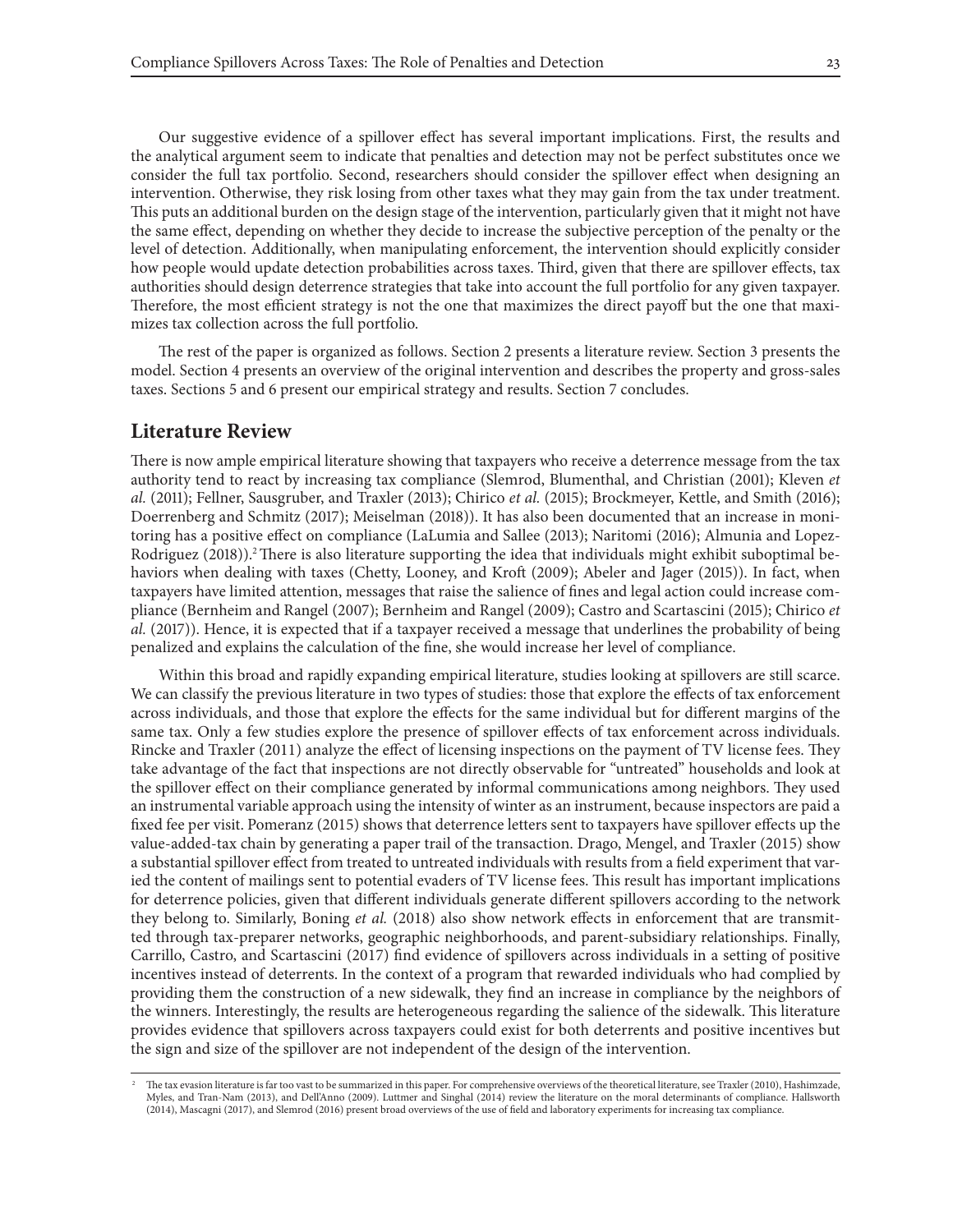Our suggestive evidence of a spillover effect has several important implications. First, the results and the analytical argument seem to indicate that penalties and detection may not be perfect substitutes once we consider the full tax portfolio. Second, researchers should consider the spillover effect when designing an intervention. Otherwise, they risk losing from other taxes what they may gain from the tax under treatment. This puts an additional burden on the design stage of the intervention, particularly given that it might not have the same effect, depending on whether they decide to increase the subjective perception of the penalty or the level of detection. Additionally, when manipulating enforcement, the intervention should explicitly consider how people would update detection probabilities across taxes. Third, given that there are spillover effects, tax authorities should design deterrence strategies that take into account the full portfolio for any given taxpayer. Therefore, the most efficient strategy is not the one that maximizes the direct payoff but the one that maximizes tax collection across the full portfolio.

The rest of the paper is organized as follows. Section 2 presents a literature review. Section 3 presents the model. Section 4 presents an overview of the original intervention and describes the property and gross-sales taxes. Sections 5 and 6 present our empirical strategy and results. Section 7 concludes.

#### **Literature Review**

There is now ample empirical literature showing that taxpayers who receive a deterrence message from the tax authority tend to react by increasing tax compliance (Slemrod, Blumenthal, and Christian (2001); Kleven *et al.* (2011); Fellner, Sausgruber, and Traxler (2013); Chirico *et al.* (2015); Brockmeyer, Kettle, and Smith (2016); Doerrenberg and Schmitz (2017); Meiselman (2018)). It has also been documented that an increase in monitoring has a positive effect on compliance (LaLumia and Sallee (2013); Naritomi (2016); Almunia and Lopez-Rodriguez (2018)).<sup>2</sup> There is also literature supporting the idea that individuals might exhibit suboptimal behaviors when dealing with taxes (Chetty, Looney, and Kroft (2009); Abeler and Jager (2015)). In fact, when taxpayers have limited attention, messages that raise the salience of fines and legal action could increase compliance (Bernheim and Rangel (2007); Bernheim and Rangel (2009); Castro and Scartascini (2015); Chirico *et al.* (2017)). Hence, it is expected that if a taxpayer received a message that underlines the probability of being penalized and explains the calculation of the fine, she would increase her level of compliance.

Within this broad and rapidly expanding empirical literature, studies looking at spillovers are still scarce. We can classify the previous literature in two types of studies: those that explore the effects of tax enforcement across individuals, and those that explore the effects for the same individual but for different margins of the same tax. Only a few studies explore the presence of spillover effects of tax enforcement across individuals. Rincke and Traxler (2011) analyze the effect of licensing inspections on the payment of TV license fees. They take advantage of the fact that inspections are not directly observable for "untreated" households and look at the spillover effect on their compliance generated by informal communications among neighbors. They used an instrumental variable approach using the intensity of winter as an instrument, because inspectors are paid a fixed fee per visit. Pomeranz (2015) shows that deterrence letters sent to taxpayers have spillover effects up the value-added-tax chain by generating a paper trail of the transaction. Drago, Mengel, and Traxler (2015) show a substantial spillover effect from treated to untreated individuals with results from a field experiment that varied the content of mailings sent to potential evaders of TV license fees. This result has important implications for deterrence policies, given that different individuals generate different spillovers according to the network they belong to. Similarly, Boning *et al.* (2018) also show network effects in enforcement that are transmitted through tax-preparer networks, geographic neighborhoods, and parent-subsidiary relationships. Finally, Carrillo, Castro, and Scartascini (2017) find evidence of spillovers across individuals in a setting of positive incentives instead of deterrents. In the context of a program that rewarded individuals who had complied by providing them the construction of a new sidewalk, they find an increase in compliance by the neighbors of the winners. Interestingly, the results are heterogeneous regarding the salience of the sidewalk. This literature provides evidence that spillovers across taxpayers could exist for both deterrents and positive incentives but the sign and size of the spillover are not independent of the design of the intervention.

<sup>2</sup> The tax evasion literature is far too vast to be summarized in this paper. For comprehensive overviews of the theoretical literature, see Traxler (2010), Hashimzade, Myles, and Tran-Nam (2013), and Dell'Anno (2009). Luttmer and Singhal (2014) review the literature on the moral determinants of compliance. Hallsworth (2014), Mascagni (2017), and Slemrod (2016) present broad overviews of the use of field and laboratory experiments for increasing tax compliance.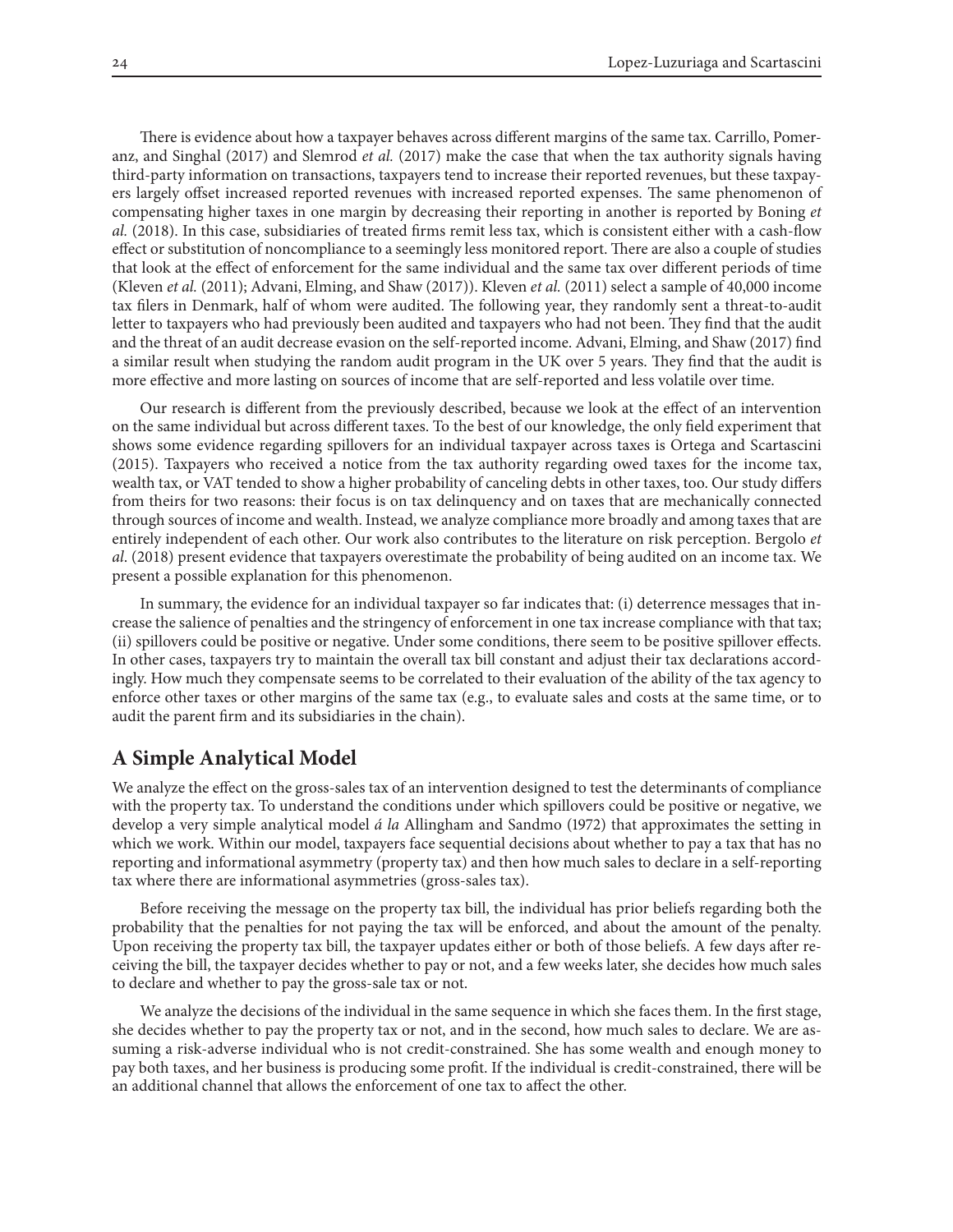There is evidence about how a taxpayer behaves across different margins of the same tax. Carrillo, Pomeranz, and Singhal (2017) and Slemrod *et al.* (2017) make the case that when the tax authority signals having third-party information on transactions, taxpayers tend to increase their reported revenues, but these taxpayers largely offset increased reported revenues with increased reported expenses. The same phenomenon of compensating higher taxes in one margin by decreasing their reporting in another is reported by Boning *et al.* (2018). In this case, subsidiaries of treated firms remit less tax, which is consistent either with a cash-flow effect or substitution of noncompliance to a seemingly less monitored report. There are also a couple of studies that look at the effect of enforcement for the same individual and the same tax over different periods of time (Kleven *et al.* (2011); Advani, Elming, and Shaw (2017)). Kleven *et al.* (2011) select a sample of 40,000 income tax filers in Denmark, half of whom were audited. The following year, they randomly sent a threat-to-audit letter to taxpayers who had previously been audited and taxpayers who had not been. They find that the audit and the threat of an audit decrease evasion on the self-reported income. Advani, Elming, and Shaw (2017) find a similar result when studying the random audit program in the UK over 5 years. They find that the audit is more effective and more lasting on sources of income that are self-reported and less volatile over time.

Our research is different from the previously described, because we look at the effect of an intervention on the same individual but across different taxes. To the best of our knowledge, the only field experiment that shows some evidence regarding spillovers for an individual taxpayer across taxes is Ortega and Scartascini (2015). Taxpayers who received a notice from the tax authority regarding owed taxes for the income tax, wealth tax, or VAT tended to show a higher probability of canceling debts in other taxes, too. Our study differs from theirs for two reasons: their focus is on tax delinquency and on taxes that are mechanically connected through sources of income and wealth. Instead, we analyze compliance more broadly and among taxes that are entirely independent of each other. Our work also contributes to the literature on risk perception. Bergolo *et al*. (2018) present evidence that taxpayers overestimate the probability of being audited on an income tax. We present a possible explanation for this phenomenon.

In summary, the evidence for an individual taxpayer so far indicates that: (i) deterrence messages that increase the salience of penalties and the stringency of enforcement in one tax increase compliance with that tax; (ii) spillovers could be positive or negative. Under some conditions, there seem to be positive spillover effects. In other cases, taxpayers try to maintain the overall tax bill constant and adjust their tax declarations accordingly. How much they compensate seems to be correlated to their evaluation of the ability of the tax agency to enforce other taxes or other margins of the same tax (e.g., to evaluate sales and costs at the same time, or to audit the parent firm and its subsidiaries in the chain).

## **A Simple Analytical Model**

We analyze the effect on the gross-sales tax of an intervention designed to test the determinants of compliance with the property tax. To understand the conditions under which spillovers could be positive or negative, we develop a very simple analytical model *á la* Allingham and Sandmo (1972) that approximates the setting in which we work. Within our model, taxpayers face sequential decisions about whether to pay a tax that has no reporting and informational asymmetry (property tax) and then how much sales to declare in a self-reporting tax where there are informational asymmetries (gross-sales tax).

Before receiving the message on the property tax bill, the individual has prior beliefs regarding both the probability that the penalties for not paying the tax will be enforced, and about the amount of the penalty. Upon receiving the property tax bill, the taxpayer updates either or both of those beliefs. A few days after receiving the bill, the taxpayer decides whether to pay or not, and a few weeks later, she decides how much sales to declare and whether to pay the gross-sale tax or not.

We analyze the decisions of the individual in the same sequence in which she faces them. In the first stage, she decides whether to pay the property tax or not, and in the second, how much sales to declare. We are assuming a risk-adverse individual who is not credit-constrained. She has some wealth and enough money to pay both taxes, and her business is producing some profit. If the individual is credit-constrained, there will be an additional channel that allows the enforcement of one tax to affect the other.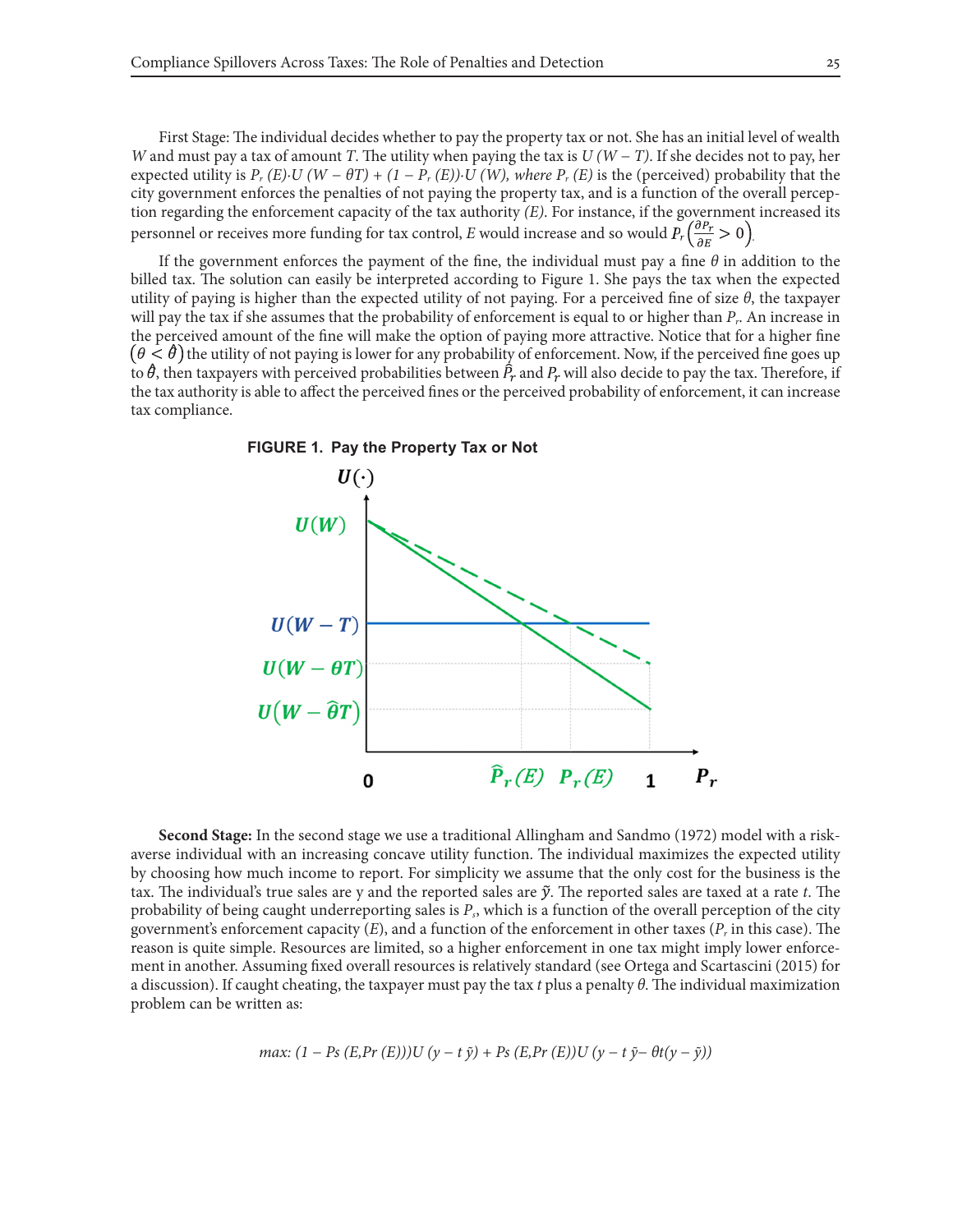First Stage: The individual decides whether to pay the property tax or not. She has an initial level of wealth *W* and must pay a tax of amount *T*. The utility when paying the tax is *U (W − T)*. If she decides not to pay, her expected utility is  $P_r(E) \cdot U(W - \theta T) + (1 - P_r(E)) \cdot U(W)$ , where  $P_r(E)$  is the (perceived) probability that the city government enforces the penalties of not paying the property tax, and is a function of the overall perception regarding the enforcement capacity of the tax authority *(E)*. For instance, if the government increased its personnel or receives more funding for tax control, *E* would increase and so would  $P_r\left(\frac{\partial P_r}{\partial E} > 0\right)$ 

If the government enforces the payment of the fine, the individual must pay a fine *θ* in addition to the billed tax. The solution can easily be interpreted according to Figure 1. She pays the tax when the expected utility of paying is higher than the expected utility of not paying. For a perceived fine of size *θ*, the taxpayer will pay the tax if she assumes that the probability of enforcement is equal to or higher than *Pr*. An increase in the perceived amount of the fine will make the option of paying more attractive. Notice that for a higher fine  $(\theta < \theta)$  the utility of not paying is lower for any probability of enforcement. Now, if the perceived fine goes up to  $\theta$ , then taxpayers with perceived probabilities between  $P_r$  and  $P_r$  will also decide to pay the tax. Therefore, if the tax authority is able to affect the perceived fines or the perceived probability of enforcement, it can increase tax compliance.



**Second Stage:** In the second stage we use a traditional Allingham and Sandmo (1972) model with a riskaverse individual with an increasing concave utility function. The individual maximizes the expected utility by choosing how much income to report. For simplicity we assume that the only cost for the business is the tax. The individual's true sales are y and the reported sales are  $\tilde{y}$ . The reported sales are taxed at a rate  $t$ . The probability of being caught underreporting sales is *Ps*, which is a function of the overall perception of the city government's enforcement capacity (*E*), and a function of the enforcement in other taxes (*Pr* in this case). The reason is quite simple. Resources are limited, so a higher enforcement in one tax might imply lower enforcement in another. Assuming fixed overall resources is relatively standard (see Ortega and Scartascini (2015) for a discussion). If caught cheating, the taxpayer must pay the tax *t* plus a penalty *θ*. The individual maximization problem can be written as:

$$
max: (1 - Ps(E, Pr(E)))U(y - t\,\tilde{y}) + Ps(E, Pr(E))U(y - t\,\tilde{y} - \theta t(y - \tilde{y}))
$$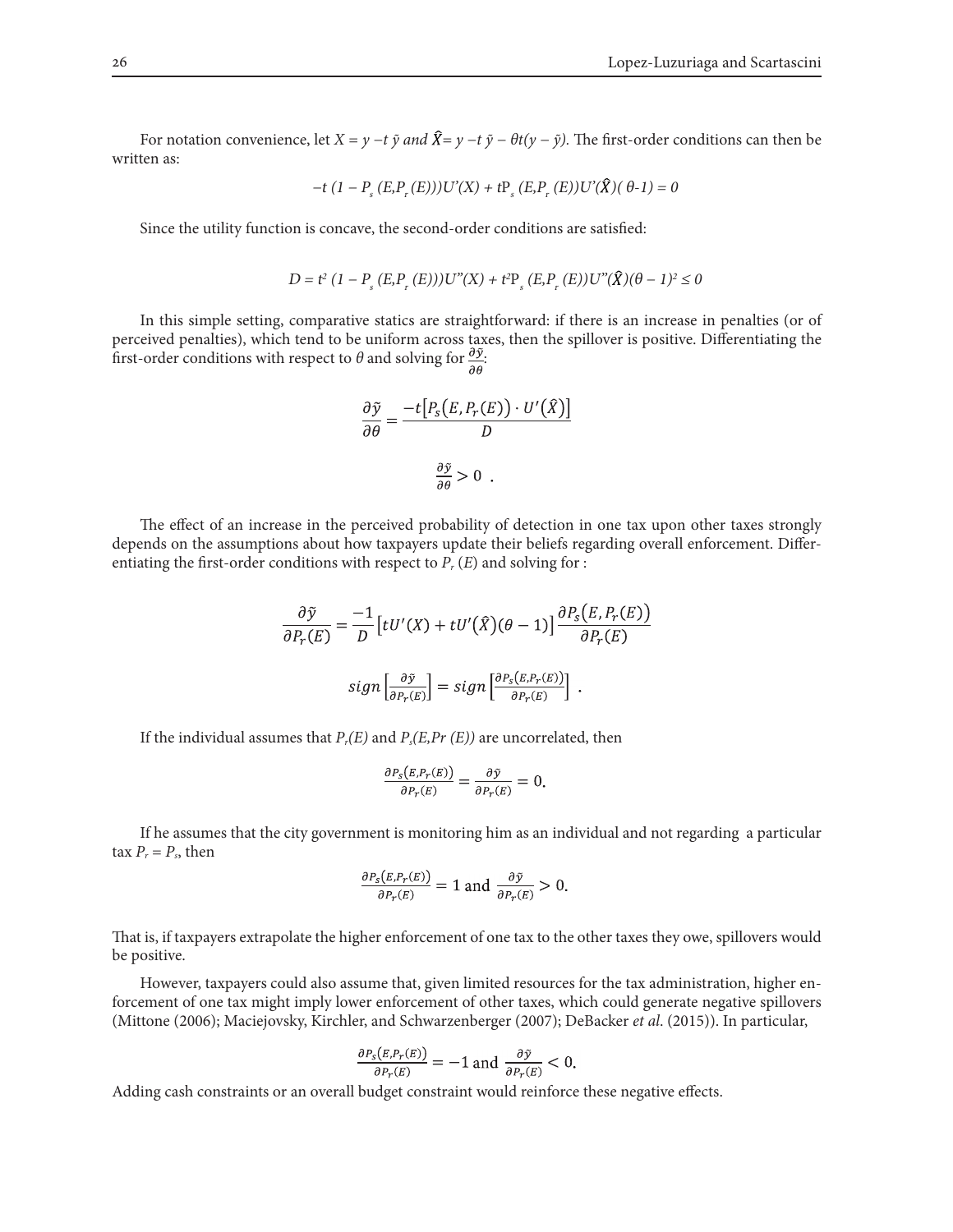For notation convenience, let  $X = y - t \tilde{y}$  and  $\hat{X} = y - t \tilde{y} - \theta t (y - \tilde{y})$ . The first-order conditions can then be written as:

$$
-t (1 - P_s (E, P_r (E))) U'(X) + t P_s (E, P_r (E)) U'(\hat{X}) (\theta - 1) = 0
$$

Since the utility function is concave, the second-order conditions are satisfied:

$$
D = t^{2} (1 - P_{s} (E, P_{r} (E))) U''(X) + t^{2} P_{s} (E, P_{r} (E)) U''(\hat{X}) (\theta - 1)^{2} \le 0
$$

In this simple setting, comparative statics are straightforward: if there is an increase in penalties (or of perceived penalties), which tend to be uniform across taxes, then the spillover is positive. Differentiating the first-order conditions with respect to  $\theta$  and solving for  $\frac{\partial \tilde{y}}{\partial s}$ .

$$
\frac{\partial \tilde{y}}{\partial \theta} = \frac{-t[P_s(E, P_r(E)) \cdot U'(\hat{X})]}{D}
$$

$$
\frac{\partial \tilde{y}}{\partial \theta} > 0.
$$

The effect of an increase in the perceived probability of detection in one tax upon other taxes strongly depends on the assumptions about how taxpayers update their beliefs regarding overall enforcement. Differentiating the first-order conditions with respect to  $P_r(E)$  and solving for :

$$
\frac{\partial \tilde{y}}{\partial P_r(E)} = \frac{-1}{D} \left[ tU'(X) + tU'(\hat{X})(\theta - 1) \right] \frac{\partial P_s(E, P_r(E))}{\partial P_r(E)}
$$
  

$$
sign\left[\frac{\partial \tilde{y}}{\partial P_r(E)}\right] = sign\left[\frac{\partial P_s(E, P_r(E))}{\partial P_r(E)}\right].
$$

If the individual assumes that  $P_r(E)$  and  $P_s(E,Pr(E))$  are uncorrelated, then

$$
\frac{\partial P_S(E, P_T(E))}{\partial P_T(E)} = \frac{\partial \tilde{\mathbf{y}}}{\partial P_T(E)} = 0.
$$

If he assumes that the city government is monitoring him as an individual and not regarding a particular tax  $P_r = P_s$ , then

$$
\frac{\partial P_S(E, P_T(E))}{\partial P_T(E)} = 1 \text{ and } \frac{\partial \tilde{y}}{\partial P_T(E)} > 0.
$$

That is, if taxpayers extrapolate the higher enforcement of one tax to the other taxes they owe, spillovers would be positive.

However, taxpayers could also assume that, given limited resources for the tax administration, higher enforcement of one tax might imply lower enforcement of other taxes, which could generate negative spillovers (Mittone (2006); Maciejovsky, Kirchler, and Schwarzenberger (2007); DeBacker *et al*. (2015)). In particular,

$$
\frac{\partial P_S(E, P_r(E))}{\partial P_r(E)} = -1 \text{ and } \frac{\partial \tilde{y}}{\partial P_r(E)} < 0.
$$

Adding cash constraints or an overall budget constraint would reinforce these negative effects.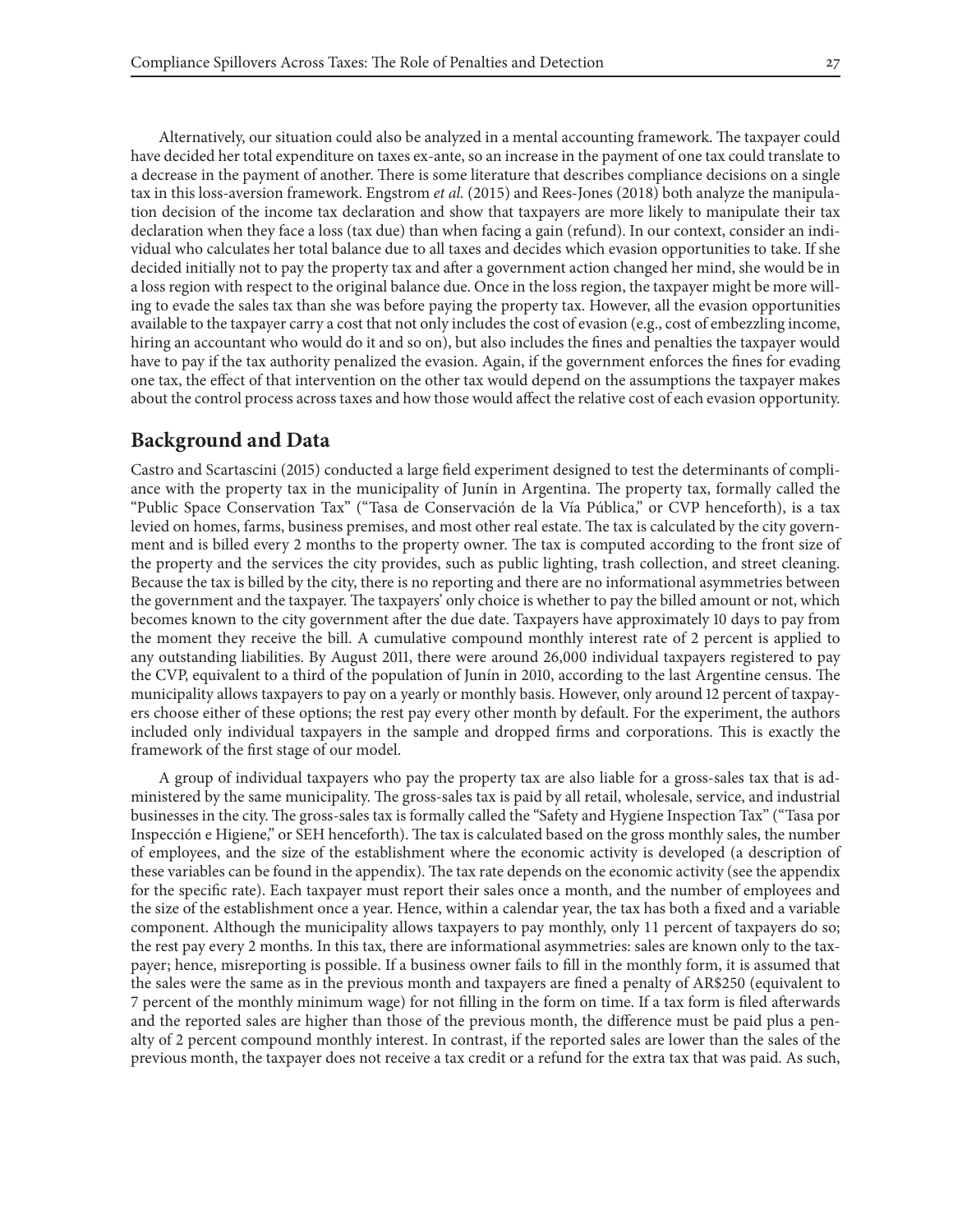Alternatively, our situation could also be analyzed in a mental accounting framework. The taxpayer could have decided her total expenditure on taxes ex-ante, so an increase in the payment of one tax could translate to a decrease in the payment of another. There is some literature that describes compliance decisions on a single tax in this loss-aversion framework. Engstrom *et al.* (2015) and Rees-Jones (2018) both analyze the manipulation decision of the income tax declaration and show that taxpayers are more likely to manipulate their tax declaration when they face a loss (tax due) than when facing a gain (refund). In our context, consider an individual who calculates her total balance due to all taxes and decides which evasion opportunities to take. If she decided initially not to pay the property tax and after a government action changed her mind, she would be in a loss region with respect to the original balance due. Once in the loss region, the taxpayer might be more willing to evade the sales tax than she was before paying the property tax. However, all the evasion opportunities available to the taxpayer carry a cost that not only includes the cost of evasion (e.g., cost of embezzling income, hiring an accountant who would do it and so on), but also includes the fines and penalties the taxpayer would have to pay if the tax authority penalized the evasion. Again, if the government enforces the fines for evading one tax, the effect of that intervention on the other tax would depend on the assumptions the taxpayer makes about the control process across taxes and how those would affect the relative cost of each evasion opportunity.

# **Background and Data**

Castro and Scartascini (2015) conducted a large field experiment designed to test the determinants of compliance with the property tax in the municipality of Junín in Argentina. The property tax, formally called the "Public Space Conservation Tax" ("Tasa de Conservación de la Vía Pública," or CVP henceforth), is a tax levied on homes, farms, business premises, and most other real estate. The tax is calculated by the city government and is billed every 2 months to the property owner. The tax is computed according to the front size of the property and the services the city provides, such as public lighting, trash collection, and street cleaning. Because the tax is billed by the city, there is no reporting and there are no informational asymmetries between the government and the taxpayer. The taxpayers' only choice is whether to pay the billed amount or not, which becomes known to the city government after the due date. Taxpayers have approximately 10 days to pay from the moment they receive the bill. A cumulative compound monthly interest rate of 2 percent is applied to any outstanding liabilities. By August 2011, there were around 26,000 individual taxpayers registered to pay the CVP, equivalent to a third of the population of Junín in 2010, according to the last Argentine census. The municipality allows taxpayers to pay on a yearly or monthly basis. However, only around 12 percent of taxpayers choose either of these options; the rest pay every other month by default. For the experiment, the authors included only individual taxpayers in the sample and dropped firms and corporations. This is exactly the framework of the first stage of our model.

A group of individual taxpayers who pay the property tax are also liable for a gross-sales tax that is administered by the same municipality. The gross-sales tax is paid by all retail, wholesale, service, and industrial businesses in the city. The gross-sales tax is formally called the "Safety and Hygiene Inspection Tax" ("Tasa por Inspección e Higiene," or SEH henceforth). The tax is calculated based on the gross monthly sales, the number of employees, and the size of the establishment where the economic activity is developed (a description of these variables can be found in the appendix). The tax rate depends on the economic activity (see the appendix for the specific rate). Each taxpayer must report their sales once a month, and the number of employees and the size of the establishment once a year. Hence, within a calendar year, the tax has both a fixed and a variable component. Although the municipality allows taxpayers to pay monthly, only 11 percent of taxpayers do so; the rest pay every 2 months. In this tax, there are informational asymmetries: sales are known only to the taxpayer; hence, misreporting is possible. If a business owner fails to fill in the monthly form, it is assumed that the sales were the same as in the previous month and taxpayers are fined a penalty of AR\$250 (equivalent to 7 percent of the monthly minimum wage) for not filling in the form on time. If a tax form is filed afterwards and the reported sales are higher than those of the previous month, the difference must be paid plus a penalty of 2 percent compound monthly interest. In contrast, if the reported sales are lower than the sales of the previous month, the taxpayer does not receive a tax credit or a refund for the extra tax that was paid. As such,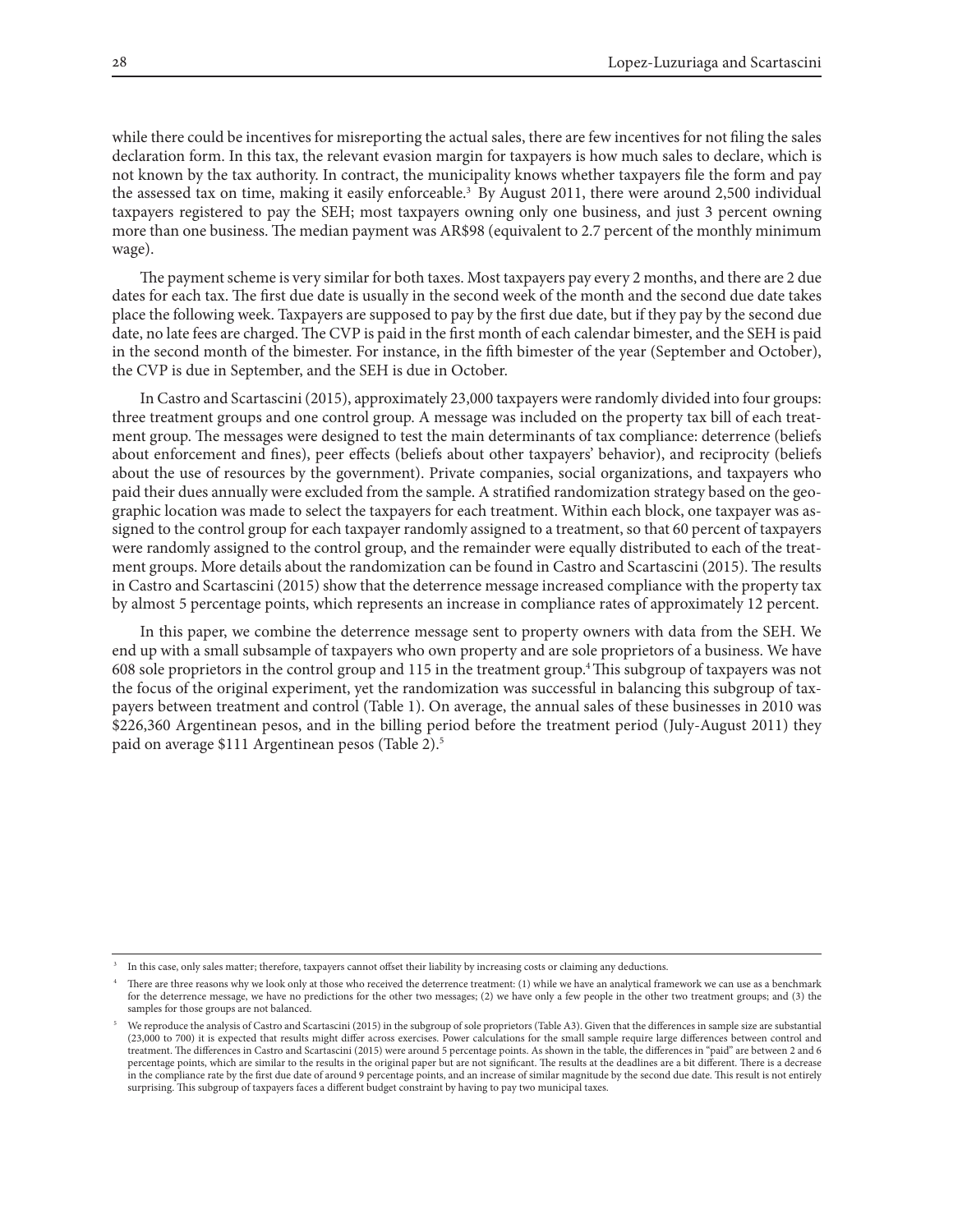while there could be incentives for misreporting the actual sales, there are few incentives for not filing the sales declaration form. In this tax, the relevant evasion margin for taxpayers is how much sales to declare, which is not known by the tax authority. In contract, the municipality knows whether taxpayers file the form and pay the assessed tax on time, making it easily enforceable.<sup>3</sup> By August 2011, there were around 2,500 individual taxpayers registered to pay the SEH; most taxpayers owning only one business, and just 3 percent owning more than one business. The median payment was AR\$98 (equivalent to 2.7 percent of the monthly minimum wage).

The payment scheme is very similar for both taxes. Most taxpayers pay every 2 months, and there are 2 due dates for each tax. The first due date is usually in the second week of the month and the second due date takes place the following week. Taxpayers are supposed to pay by the first due date, but if they pay by the second due date, no late fees are charged. The CVP is paid in the first month of each calendar bimester, and the SEH is paid in the second month of the bimester. For instance, in the fifth bimester of the year (September and October), the CVP is due in September, and the SEH is due in October.

In Castro and Scartascini (2015), approximately 23,000 taxpayers were randomly divided into four groups: three treatment groups and one control group. A message was included on the property tax bill of each treatment group. The messages were designed to test the main determinants of tax compliance: deterrence (beliefs about enforcement and fines), peer effects (beliefs about other taxpayers' behavior), and reciprocity (beliefs about the use of resources by the government). Private companies, social organizations, and taxpayers who paid their dues annually were excluded from the sample. A stratified randomization strategy based on the geographic location was made to select the taxpayers for each treatment. Within each block, one taxpayer was assigned to the control group for each taxpayer randomly assigned to a treatment, so that 60 percent of taxpayers were randomly assigned to the control group, and the remainder were equally distributed to each of the treatment groups. More details about the randomization can be found in Castro and Scartascini (2015). The results in Castro and Scartascini (2015) show that the deterrence message increased compliance with the property tax by almost 5 percentage points, which represents an increase in compliance rates of approximately 12 percent.

In this paper, we combine the deterrence message sent to property owners with data from the SEH. We end up with a small subsample of taxpayers who own property and are sole proprietors of a business. We have 608 sole proprietors in the control group and 115 in the treatment group.4 This subgroup of taxpayers was not the focus of the original experiment, yet the randomization was successful in balancing this subgroup of taxpayers between treatment and control (Table 1). On average, the annual sales of these businesses in 2010 was \$226,360 Argentinean pesos, and in the billing period before the treatment period (July-August 2011) they paid on average \$111 Argentinean pesos (Table 2).5

<sup>3</sup> In this case, only sales matter; therefore, taxpayers cannot offset their liability by increasing costs or claiming any deductions.

There are three reasons why we look only at those who received the deterrence treatment: (1) while we have an analytical framework we can use as a benchmark for the deterrence message, we have no predictions for the other two messages; (2) we have only a few people in the other two treatment groups; and (3) the samples for those groups are not balanced.

We reproduce the analysis of Castro and Scartascini (2015) in the subgroup of sole proprietors (Table A3). Given that the differences in sample size are substantial (23,000 to 700) it is expected that results might differ across exercises. Power calculations for the small sample require large differences between control and treatment. The differences in Castro and Scartascini (2015) were around 5 percentage points. As shown in the table, the differences in "paid" are between 2 and 6 percentage points, which are similar to the results in the original paper but are not significant. The results at the deadlines are a bit different. There is a decrease in the compliance rate by the first due date of around 9 percentage points, and an increase of similar magnitude by the second due date. This result is not entirely surprising. This subgroup of taxpayers faces a different budget constraint by having to pay two municipal taxes.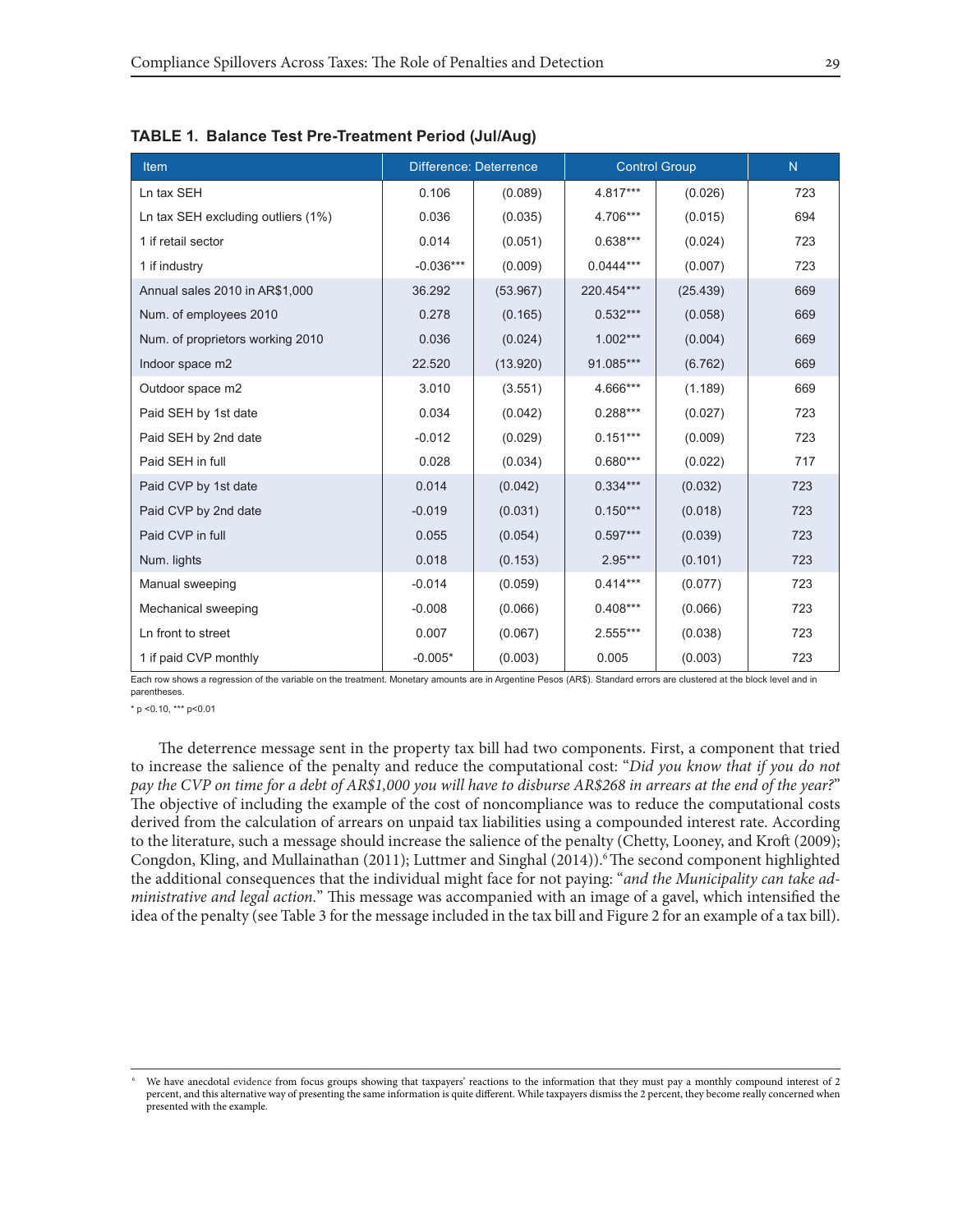| <b>Item</b>                        | <b>Difference: Deterrence</b> |          | <b>Control Group</b> | N        |     |
|------------------------------------|-------------------------------|----------|----------------------|----------|-----|
| Ln tax SEH                         | 0.106                         | (0.089)  | $4.817***$           | (0.026)  | 723 |
| Ln tax SEH excluding outliers (1%) | 0.036                         | (0.035)  | 4.706***             | (0.015)  | 694 |
| 1 if retail sector                 | 0.014                         | (0.051)  | $0.638***$           | (0.024)  | 723 |
| 1 if industry                      | $-0.036***$                   | (0.009)  | $0.0444***$          | (0.007)  | 723 |
| Annual sales 2010 in AR\$1,000     | 36.292                        | (53.967) | 220.454***           | (25.439) | 669 |
| Num. of employees 2010             | 0.278                         | (0.165)  | $0.532***$           | (0.058)  | 669 |
| Num. of proprietors working 2010   | 0.036                         | (0.024)  | $1.002***$           | (0.004)  | 669 |
| Indoor space m2                    | 22.520                        | (13.920) | 91.085***            | (6.762)  | 669 |
| Outdoor space m2                   | 3.010                         | (3.551)  | 4.666***             | (1.189)  | 669 |
| Paid SEH by 1st date               | 0.034                         | (0.042)  | $0.288***$           | (0.027)  | 723 |
| Paid SEH by 2nd date               | $-0.012$                      | (0.029)  | $0.151***$           | (0.009)  | 723 |
| Paid SEH in full                   | 0.028                         | (0.034)  | $0.680***$           | (0.022)  | 717 |
| Paid CVP by 1st date               | 0.014                         | (0.042)  | $0.334***$           | (0.032)  | 723 |
| Paid CVP by 2nd date               | $-0.019$                      | (0.031)  | $0.150***$           | (0.018)  | 723 |
| Paid CVP in full                   | 0.055                         | (0.054)  | $0.597***$           | (0.039)  | 723 |
| Num. lights                        | 0.018                         | (0.153)  | $2.95***$            | (0.101)  | 723 |
| Manual sweeping                    | $-0.014$                      | (0.059)  | $0.414***$           | (0.077)  | 723 |
| Mechanical sweeping                | $-0.008$                      | (0.066)  | $0.408***$           | (0.066)  | 723 |
| Ln front to street                 | 0.007                         | (0.067)  | $2.555***$           | (0.038)  | 723 |
| 1 if paid CVP monthly              | $-0.005*$                     | (0.003)  | 0.005                | (0.003)  | 723 |

**TABLE 1. Balance Test Pre-Treatment Period (Jul/Aug)**

Each row shows a regression of the variable on the treatment. Monetary amounts are in Argentine Pesos (AR\$). Standard errors are clustered at the block level and in parentheses.

 $*$  p < 0.10,  $***$  p < 0.01

The deterrence message sent in the property tax bill had two components. First, a component that tried to increase the salience of the penalty and reduce the computational cost: "*Did you know that if you do not pay the CVP on time for a debt of AR\$1,000 you will have to disburse AR\$268 in arrears at the end of the year?*" The objective of including the example of the cost of noncompliance was to reduce the computational costs derived from the calculation of arrears on unpaid tax liabilities using a compounded interest rate. According to the literature, such a message should increase the salience of the penalty (Chetty, Looney, and Kroft (2009); Congdon, Kling, and Mullainathan (2011); Luttmer and Singhal (2014)). The second component highlighted the additional consequences that the individual might face for not paying: "*and the Municipality can take administrative and legal action.*" This message was accompanied with an image of a gavel, which intensified the idea of the penalty (see Table 3 for the message included in the tax bill and Figure 2 for an example of a tax bill).

We have anecdotal evidence from focus groups showing that taxpayers' reactions to the information that they must pay a monthly compound interest of 2 percent, and this alternative way of presenting the same information is quite different. While taxpayers dismiss the 2 percent, they become really concerned when presented with the example.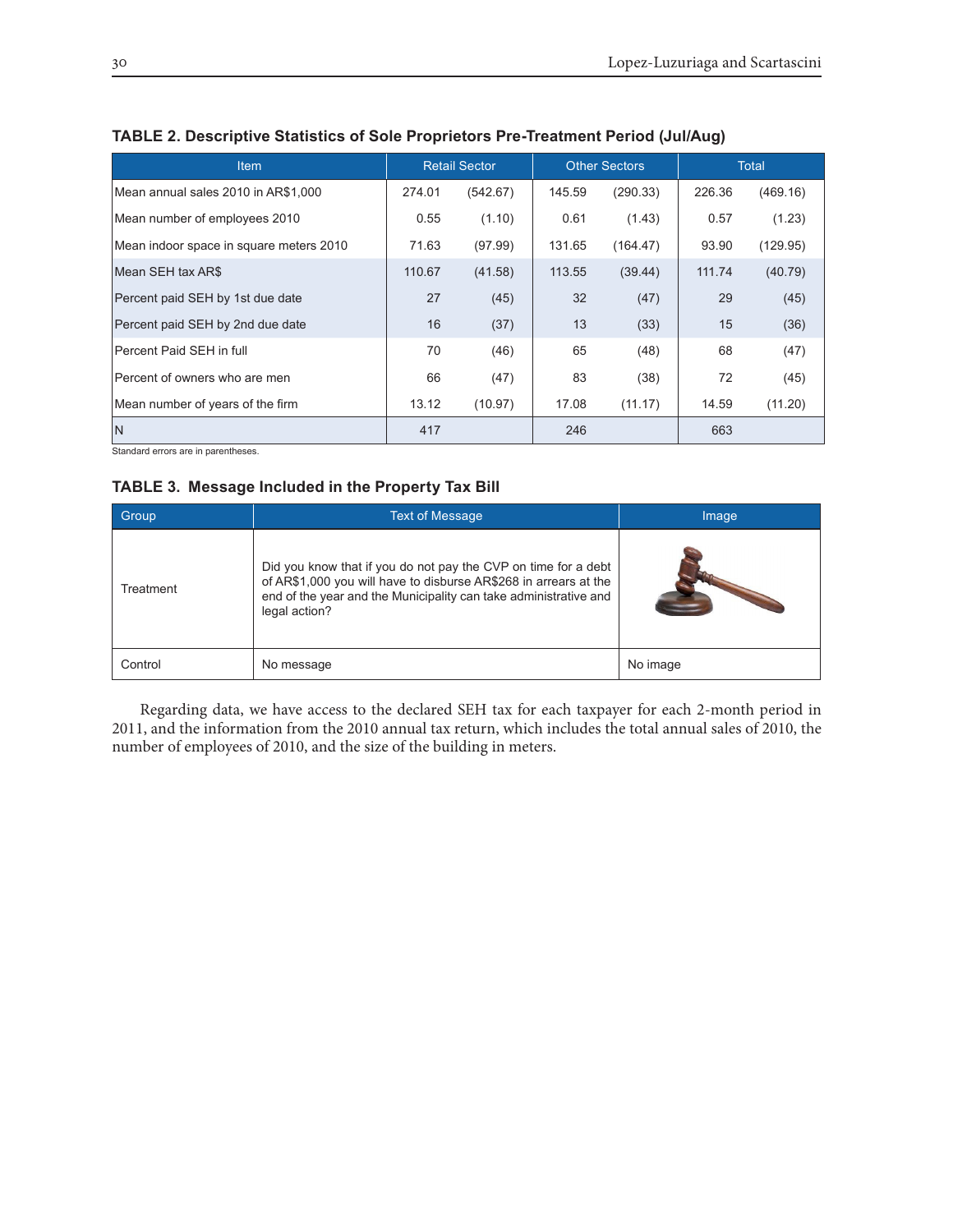| <b>Item</b>                             | <b>Retail Sector</b> |          | <b>Other Sectors</b> |          | Total  |          |
|-----------------------------------------|----------------------|----------|----------------------|----------|--------|----------|
| Mean annual sales 2010 in AR\$1,000     | 274.01               | (542.67) | 145.59               | (290.33) | 226.36 | (469.16) |
| Mean number of employees 2010           | 0.55                 | (1.10)   | 0.61                 | (1.43)   | 0.57   | (1.23)   |
| Mean indoor space in square meters 2010 | 71.63                | (97.99)  | 131.65               | (164.47) | 93.90  | (129.95) |
| Mean SEH tax AR\$                       | 110.67               | (41.58)  | 113.55               | (39.44)  | 111.74 | (40.79)  |
| Percent paid SEH by 1st due date        | 27                   | (45)     | 32                   | (47)     | 29     | (45)     |
| Percent paid SEH by 2nd due date        | 16                   | (37)     | 13                   | (33)     | 15     | (36)     |
| Percent Paid SEH in full                | 70                   | (46)     | 65                   | (48)     | 68     | (47)     |
| Percent of owners who are men           | 66                   | (47)     | 83                   | (38)     | 72     | (45)     |
| Mean number of years of the firm        | 13.12                | (10.97)  | 17.08                | (11.17)  | 14.59  | (11.20)  |
| IN                                      | 417                  |          | 246                  |          | 663    |          |

## **TABLE 2. Descriptive Statistics of Sole Proprietors Pre-Treatment Period (Jul/Aug)**

Standard errors are in parentheses.

## **TABLE 3. Message Included in the Property Tax Bill**

| Group     | <b>Text of Message</b>                                                                                                                                                                                                  | Image    |
|-----------|-------------------------------------------------------------------------------------------------------------------------------------------------------------------------------------------------------------------------|----------|
| Treatment | Did you know that if you do not pay the CVP on time for a debt<br>of AR\$1,000 you will have to disburse AR\$268 in arrears at the<br>end of the year and the Municipality can take administrative and<br>legal action? |          |
| Control   | No message                                                                                                                                                                                                              | No image |

Regarding data, we have access to the declared SEH tax for each taxpayer for each 2-month period in 2011, and the information from the 2010 annual tax return, which includes the total annual sales of 2010, the number of employees of 2010, and the size of the building in meters.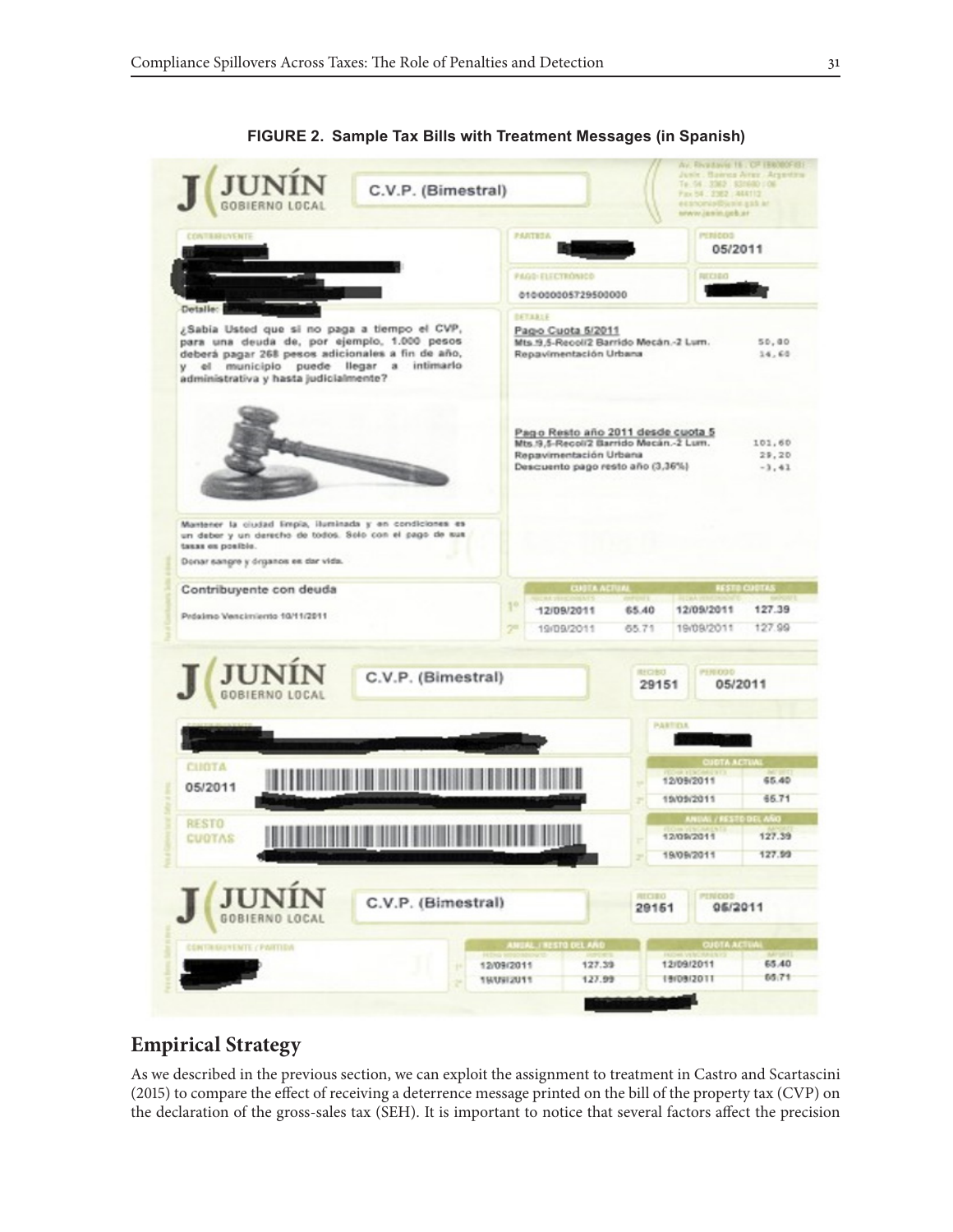

**FIGURE 2. Sample Tax Bills with Treatment Messages (in Spanish)**

# **Empirical Strategy**

As we described in the previous section, we can exploit the assignment to treatment in Castro and Scartascini (2015) to compare the effect of receiving a deterrence message printed on the bill of the property tax (CVP) on the declaration of the gross-sales tax (SEH). It is important to notice that several factors affect the precision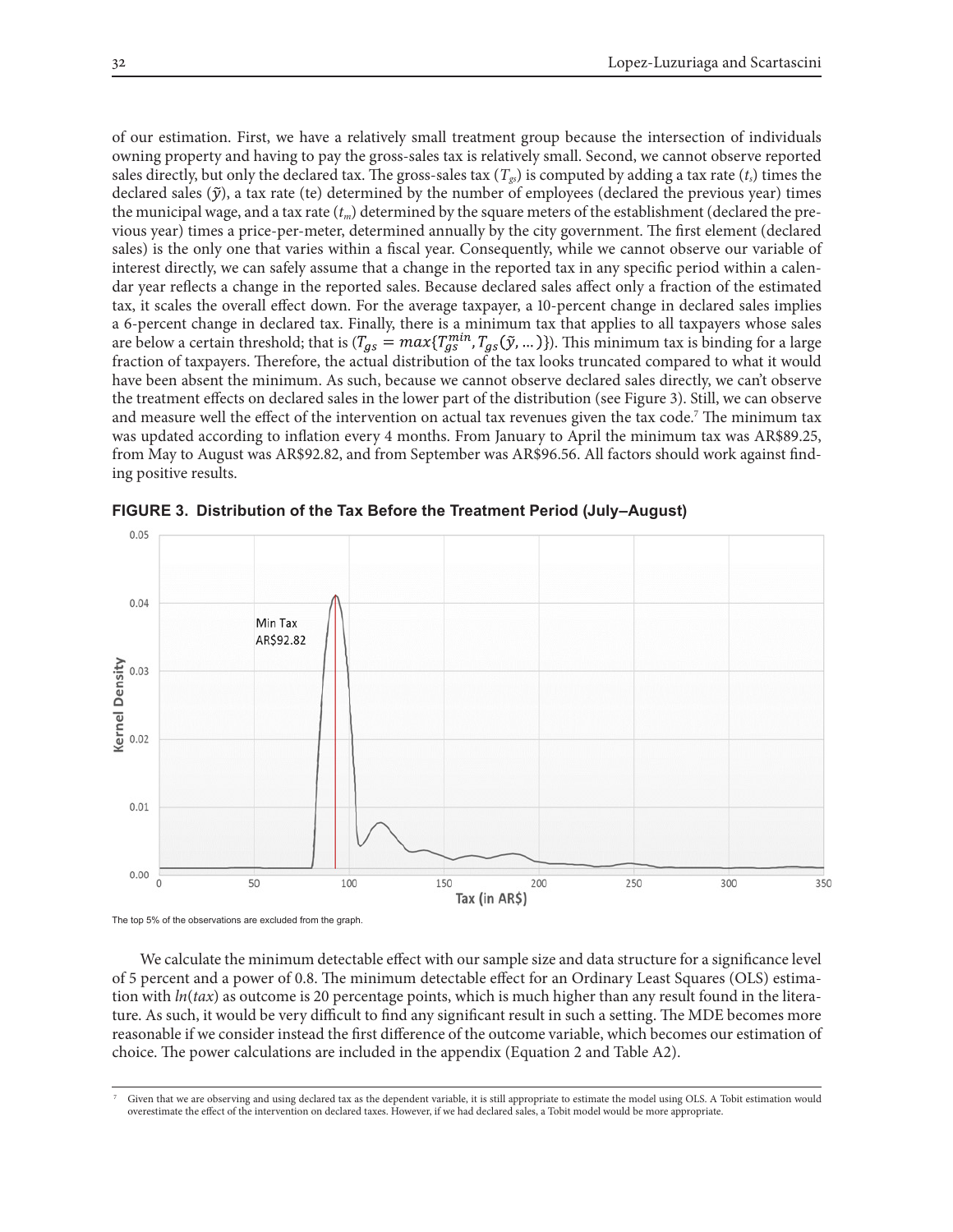of our estimation. First, we have a relatively small treatment group because the intersection of individuals owning property and having to pay the gross-sales tax is relatively small. Second, we cannot observe reported sales directly, but only the declared tax. The gross-sales tax  $(T_{gs})$  is computed by adding a tax rate  $(t_s)$  times the declared sales  $(\tilde{y})$ , a tax rate (te) determined by the number of employees (declared the previous year) times the municipal wage, and a tax rate  $(t_m)$  determined by the square meters of the establishment (declared the previous year) times a price-per-meter, determined annually by the city government. The first element (declared sales) is the only one that varies within a fiscal year. Consequently, while we cannot observe our variable of interest directly, we can safely assume that a change in the reported tax in any specific period within a calendar year reflects a change in the reported sales. Because declared sales affect only a fraction of the estimated tax, it scales the overall effect down. For the average taxpayer, a 10-percent change in declared sales implies a 6-percent change in declared tax. Finally, there is a minimum tax that applies to all taxpayers whose sales are below a certain threshold; that is  $(T_{gs} = max\{T_{gs}^{min}, T_{gs}(\tilde{y}, ...) \})$ . This minimum tax is binding for a large fraction of taxpayers. Therefore, the actual distribution of the tax looks truncated compared to what it would have been absent the minimum. As such, because we cannot observe declared sales directly, we can't observe the treatment effects on declared sales in the lower part of the distribution (see Figure 3). Still, we can observe and measure well the effect of the intervention on actual tax revenues given the tax code.7 The minimum tax was updated according to inflation every 4 months. From January to April the minimum tax was AR\$89.25, from May to August was AR\$92.82, and from September was AR\$96.56. All factors should work against finding positive results.



**FIGURE 3. Distribution of the Tax Before the Treatment Period (July–August)**

The top 5% of the observations are excluded from the graph.

We calculate the minimum detectable effect with our sample size and data structure for a significance level of 5 percent and a power of 0.8. The minimum detectable effect for an Ordinary Least Squares (OLS) estimation with *ln*(*tax*) as outcome is 20 percentage points, which is much higher than any result found in the literature. As such, it would be very difficult to find any significant result in such a setting. The MDE becomes more reasonable if we consider instead the first difference of the outcome variable, which becomes our estimation of choice. The power calculations are included in the appendix (Equation 2 and Table A2).

<sup>7</sup> Given that we are observing and using declared tax as the dependent variable, it is still appropriate to estimate the model using OLS. A Tobit estimation would overestimate the effect of the intervention on declared taxes. However, if we had declared sales, a Tobit model would be more appropriate.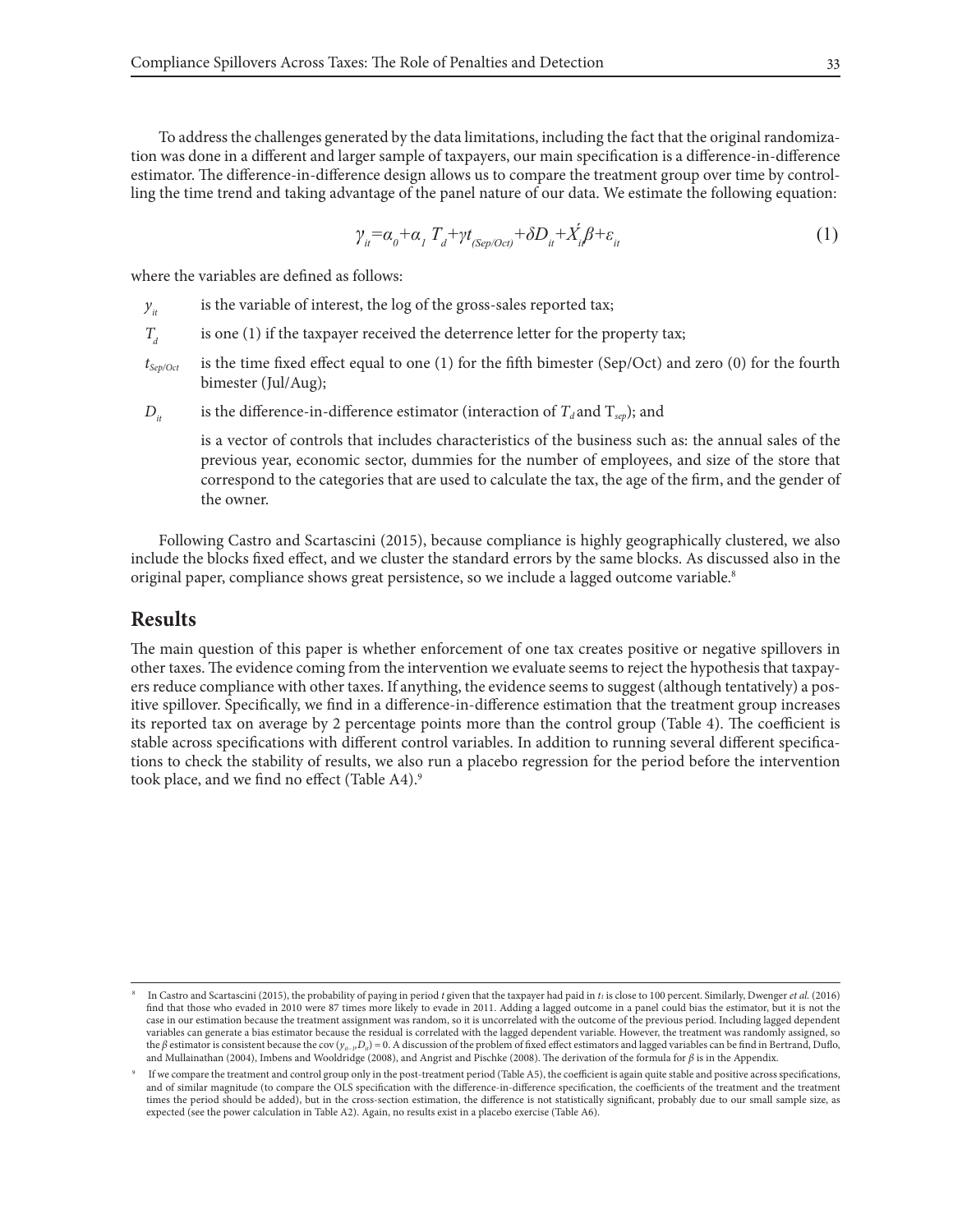To address the challenges generated by the data limitations, including the fact that the original randomization was done in a different and larger sample of taxpayers, our main specification is a difference-in-difference estimator. The difference-in-difference design allows us to compare the treatment group over time by controlling the time trend and taking advantage of the panel nature of our data. We estimate the following equation:

$$
\gamma_{it} = \alpha_0 + \alpha_1 T_d + \gamma t_{\langle Sep/Oct\rangle} + \delta D_{it} + \dot{X}_{it} \beta + \varepsilon_{it}
$$
\n(1)

where the variables are defined as follows:

- $y_{it}$  is the variable of interest, the log of the gross-sales reported tax;
- *T<sub>a</sub>* is one (1) if the taxpayer received the deterrence letter for the property tax;
- *tSep/Oct* is the time fixed effect equal to one (1) for the fifth bimester (Sep/Oct) and zero (0) for the fourth bimester (Jul/Aug);
- *D<sub>it</sub>* is the difference-in-difference estimator (interaction of  $T_d$  and  $T_{sep}$ ); and

is a vector of controls that includes characteristics of the business such as: the annual sales of the previous year, economic sector, dummies for the number of employees, and size of the store that correspond to the categories that are used to calculate the tax, the age of the firm, and the gender of the owner.

Following Castro and Scartascini (2015), because compliance is highly geographically clustered, we also include the blocks fixed effect, and we cluster the standard errors by the same blocks. As discussed also in the original paper, compliance shows great persistence, so we include a lagged outcome variable.<sup>8</sup>

#### **Results**

The main question of this paper is whether enforcement of one tax creates positive or negative spillovers in other taxes. The evidence coming from the intervention we evaluate seems to reject the hypothesis that taxpayers reduce compliance with other taxes. If anything, the evidence seems to suggest (although tentatively) a positive spillover. Specifically, we find in a difference-in-difference estimation that the treatment group increases its reported tax on average by 2 percentage points more than the control group (Table 4). The coefficient is stable across specifications with different control variables. In addition to running several different specifications to check the stability of results, we also run a placebo regression for the period before the intervention took place, and we find no effect (Table A4).<sup>9</sup>

<sup>8</sup> In Castro and Scartascini (2015), the probability of paying in period *t* given that the taxpayer had paid in *t1* is close to 100 percent. Similarly, Dwenger *et al.* (2016) find that those who evaded in 2010 were 87 times more likely to evade in 2011. Adding a lagged outcome in a panel could bias the estimator, but it is not the case in our estimation because the treatment assignment was random, so it is uncorrelated with the outcome of the previous period. Including lagged dependent variables can generate a bias estimator because the residual is correlated with the lagged dependent variable. However, the treatment was randomly assigned, so the *β* estimator is consistent because the cov (*y<sub>it−1</sub>D<sub>ii</sub>*) = 0. A discussion of the problem of fixed effect estimators and lagged variables can be find in Bertrand, Duflo, and Mullainathan (2004), Imbens and Wooldridge (2008), and Angrist and Pischke (2008). The derivation of the formula for *β* is in the Appendix.

<sup>&</sup>lt;sup>9</sup> If we compare the treatment and control group only in the post-treatment period (Table A5), the coefficient is again quite stable and positive across specifications, and of similar magnitude (to compare the OLS specification with the difference-in-difference specification, the coefficients of the treatment and the treatment times the period should be added), but in the cross-section estimation, the difference is not statistically significant, probably due to our small sample size, as expected (see the power calculation in Table A2). Again, no results exist in a placebo exercise (Table A6).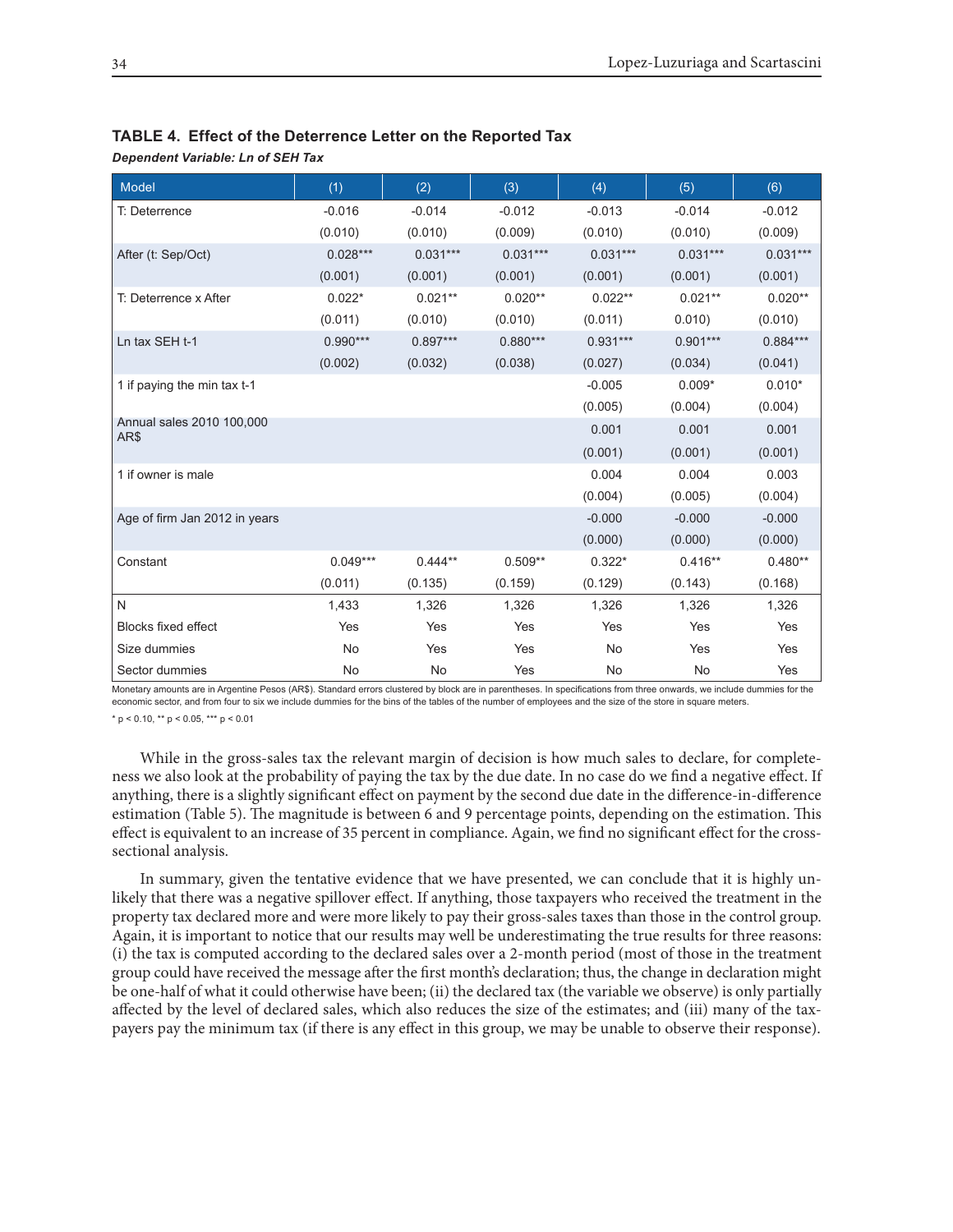| Model                             | (1)        | (2)        | (3)        | (4)        | (5)        | (6)        |
|-----------------------------------|------------|------------|------------|------------|------------|------------|
| T: Deterrence                     | $-0.016$   | $-0.014$   | $-0.012$   | $-0.013$   | $-0.014$   | $-0.012$   |
|                                   | (0.010)    | (0.010)    | (0.009)    | (0.010)    | (0.010)    | (0.009)    |
| After (t: Sep/Oct)                | $0.028***$ | $0.031***$ | $0.031***$ | $0.031***$ | $0.031***$ | $0.031***$ |
|                                   | (0.001)    | (0.001)    | (0.001)    | (0.001)    | (0.001)    | (0.001)    |
| T: Deterrence x After             | $0.022*$   | $0.021**$  | $0.020**$  | $0.022**$  | $0.021**$  | $0.020**$  |
|                                   | (0.011)    | (0.010)    | (0.010)    | (0.011)    | 0.010)     | (0.010)    |
| Ln tax SEH t-1                    | $0.990***$ | $0.897***$ | $0.880***$ | $0.931***$ | $0.901***$ | $0.884***$ |
|                                   | (0.002)    | (0.032)    | (0.038)    | (0.027)    | (0.034)    | (0.041)    |
| 1 if paying the min tax t-1       |            |            |            | $-0.005$   | $0.009*$   | $0.010*$   |
|                                   |            |            |            | (0.005)    | (0.004)    | (0.004)    |
| Annual sales 2010 100,000<br>AR\$ |            |            |            | 0.001      | 0.001      | 0.001      |
|                                   |            |            |            | (0.001)    | (0.001)    | (0.001)    |
| 1 if owner is male                |            |            |            | 0.004      | 0.004      | 0.003      |
|                                   |            |            |            | (0.004)    | (0.005)    | (0.004)    |
| Age of firm Jan 2012 in years     |            |            |            | $-0.000$   | $-0.000$   | $-0.000$   |
|                                   |            |            |            | (0.000)    | (0.000)    | (0.000)    |
| Constant                          | $0.049***$ | $0.444**$  | $0.509**$  | $0.322*$   | $0.416**$  | $0.480**$  |
|                                   | (0.011)    | (0.135)    | (0.159)    | (0.129)    | (0.143)    | (0.168)    |
| N                                 | 1,433      | 1,326      | 1,326      | 1,326      | 1,326      | 1,326      |
| <b>Blocks fixed effect</b>        | Yes        | Yes        | Yes        | Yes        | Yes        | Yes        |
| Size dummies                      | No         | Yes        | Yes        | No         | Yes        | Yes        |
| Sector dummies                    | No         | No         | Yes        | <b>No</b>  | <b>No</b>  | Yes        |

#### **TABLE 4. Effect of the Deterrence Letter on the Reported Tax**

*Dependent Variable: Ln of SEH Tax*

Monetary amounts are in Argentine Pesos (AR\$). Standard errors clustered by block are in parentheses. In specifications from three onwards, we include dummies for the economic sector, and from four to six we include dummies for the bins of the tables of the number of employees and the size of the store in square meters.

 $* p < 0.10$ ,  $** p < 0.05$ ,  $*** p < 0.01$ 

While in the gross-sales tax the relevant margin of decision is how much sales to declare, for completeness we also look at the probability of paying the tax by the due date. In no case do we find a negative effect. If anything, there is a slightly significant effect on payment by the second due date in the difference-in-difference estimation (Table 5). The magnitude is between 6 and 9 percentage points, depending on the estimation. This effect is equivalent to an increase of 35 percent in compliance. Again, we find no significant effect for the crosssectional analysis.

In summary, given the tentative evidence that we have presented, we can conclude that it is highly unlikely that there was a negative spillover effect. If anything, those taxpayers who received the treatment in the property tax declared more and were more likely to pay their gross-sales taxes than those in the control group. Again, it is important to notice that our results may well be underestimating the true results for three reasons: (i) the tax is computed according to the declared sales over a 2-month period (most of those in the treatment group could have received the message after the first month's declaration; thus, the change in declaration might be one-half of what it could otherwise have been; (ii) the declared tax (the variable we observe) is only partially affected by the level of declared sales, which also reduces the size of the estimates; and (iii) many of the taxpayers pay the minimum tax (if there is any effect in this group, we may be unable to observe their response).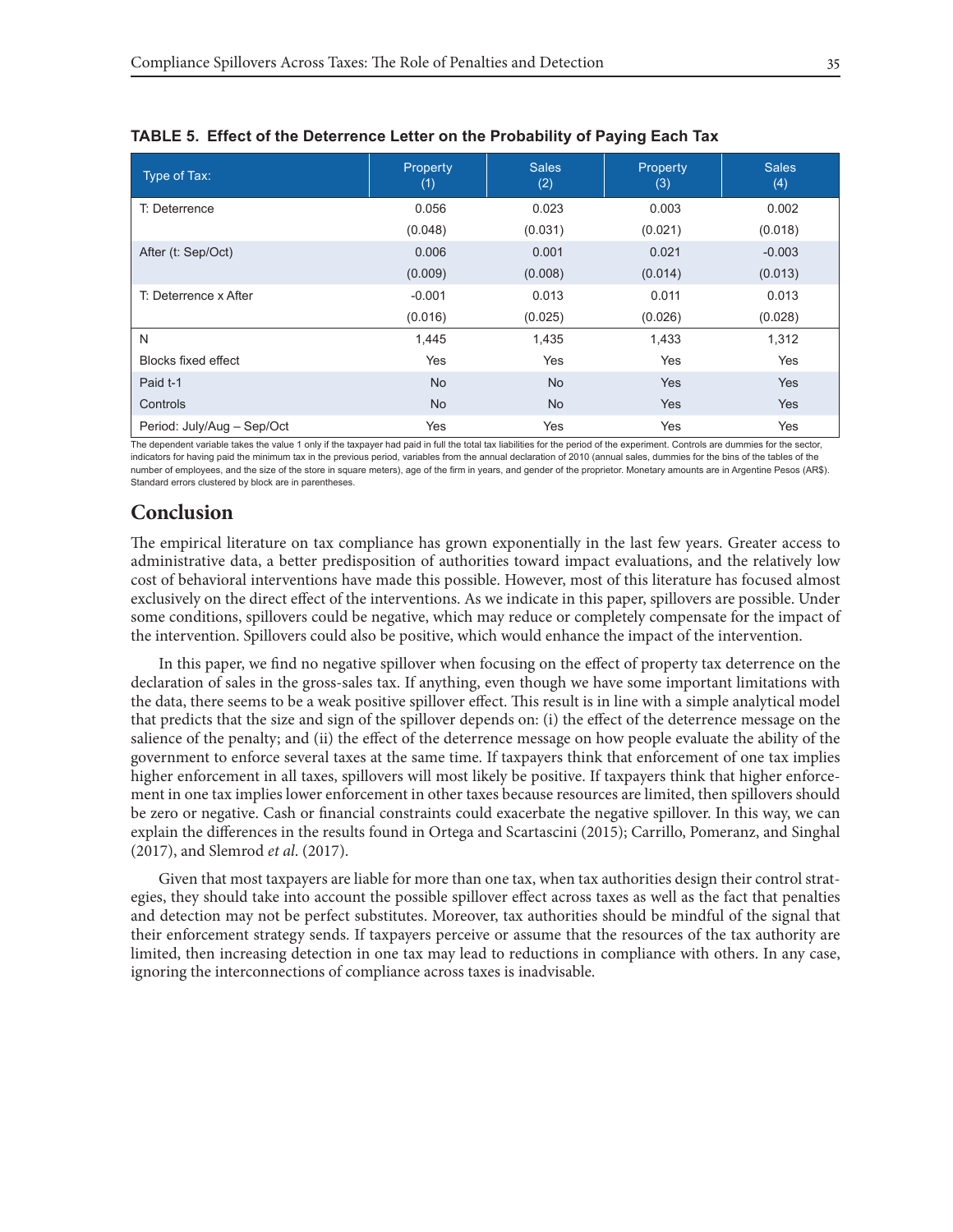| Type of Tax:               | Property<br>(1) | <b>Sales</b><br>(2) | Property<br>(3) | <b>Sales</b><br>(4) |
|----------------------------|-----------------|---------------------|-----------------|---------------------|
| T: Deterrence              | 0.056           | 0.023               | 0.003           | 0.002               |
|                            | (0.048)         | (0.031)             | (0.021)         | (0.018)             |
| After (t: Sep/Oct)         | 0.006           | 0.001               | 0.021           | $-0.003$            |
|                            | (0.009)         | (0.008)             | (0.014)         | (0.013)             |
| T: Deterrence x After      | $-0.001$        | 0.013               | 0.011           | 0.013               |
|                            | (0.016)         | (0.025)             | (0.026)         | (0.028)             |
| N                          | 1,445           | 1,435               | 1,433           | 1,312               |
| <b>Blocks fixed effect</b> | Yes             | Yes                 | Yes             | Yes                 |
| Paid t-1                   | <b>No</b>       | <b>No</b>           | <b>Yes</b>      | Yes                 |
| Controls                   | <b>No</b>       | <b>No</b>           | <b>Yes</b>      | <b>Yes</b>          |
| Period: July/Aug - Sep/Oct | Yes             | Yes                 | Yes             | Yes                 |

|  | TABLE 5. Effect of the Deterrence Letter on the Probability of Paying Each Tax |  |  |  |  |  |  |  |
|--|--------------------------------------------------------------------------------|--|--|--|--|--|--|--|
|--|--------------------------------------------------------------------------------|--|--|--|--|--|--|--|

The dependent variable takes the value 1 only if the taxpayer had paid in full the total tax liabilities for the period of the experiment. Controls are dummies for the sector, indicators for having paid the minimum tax in the previous period, variables from the annual declaration of 2010 (annual sales, dummies for the bins of the tables of the number of employees, and the size of the store in square meters), age of the firm in years, and gender of the proprietor. Monetary amounts are in Argentine Pesos (AR\$). Standard errors clustered by block are in parentheses.

# **Conclusion**

The empirical literature on tax compliance has grown exponentially in the last few years. Greater access to administrative data, a better predisposition of authorities toward impact evaluations, and the relatively low cost of behavioral interventions have made this possible. However, most of this literature has focused almost exclusively on the direct effect of the interventions. As we indicate in this paper, spillovers are possible. Under some conditions, spillovers could be negative, which may reduce or completely compensate for the impact of the intervention. Spillovers could also be positive, which would enhance the impact of the intervention.

In this paper, we find no negative spillover when focusing on the effect of property tax deterrence on the declaration of sales in the gross-sales tax. If anything, even though we have some important limitations with the data, there seems to be a weak positive spillover effect. This result is in line with a simple analytical model that predicts that the size and sign of the spillover depends on: (i) the effect of the deterrence message on the salience of the penalty; and (ii) the effect of the deterrence message on how people evaluate the ability of the government to enforce several taxes at the same time. If taxpayers think that enforcement of one tax implies higher enforcement in all taxes, spillovers will most likely be positive. If taxpayers think that higher enforcement in one tax implies lower enforcement in other taxes because resources are limited, then spillovers should be zero or negative. Cash or financial constraints could exacerbate the negative spillover. In this way, we can explain the differences in the results found in Ortega and Scartascini (2015); Carrillo, Pomeranz, and Singhal (2017), and Slemrod *et al*. (2017).

Given that most taxpayers are liable for more than one tax, when tax authorities design their control strategies, they should take into account the possible spillover effect across taxes as well as the fact that penalties and detection may not be perfect substitutes. Moreover, tax authorities should be mindful of the signal that their enforcement strategy sends. If taxpayers perceive or assume that the resources of the tax authority are limited, then increasing detection in one tax may lead to reductions in compliance with others. In any case, ignoring the interconnections of compliance across taxes is inadvisable.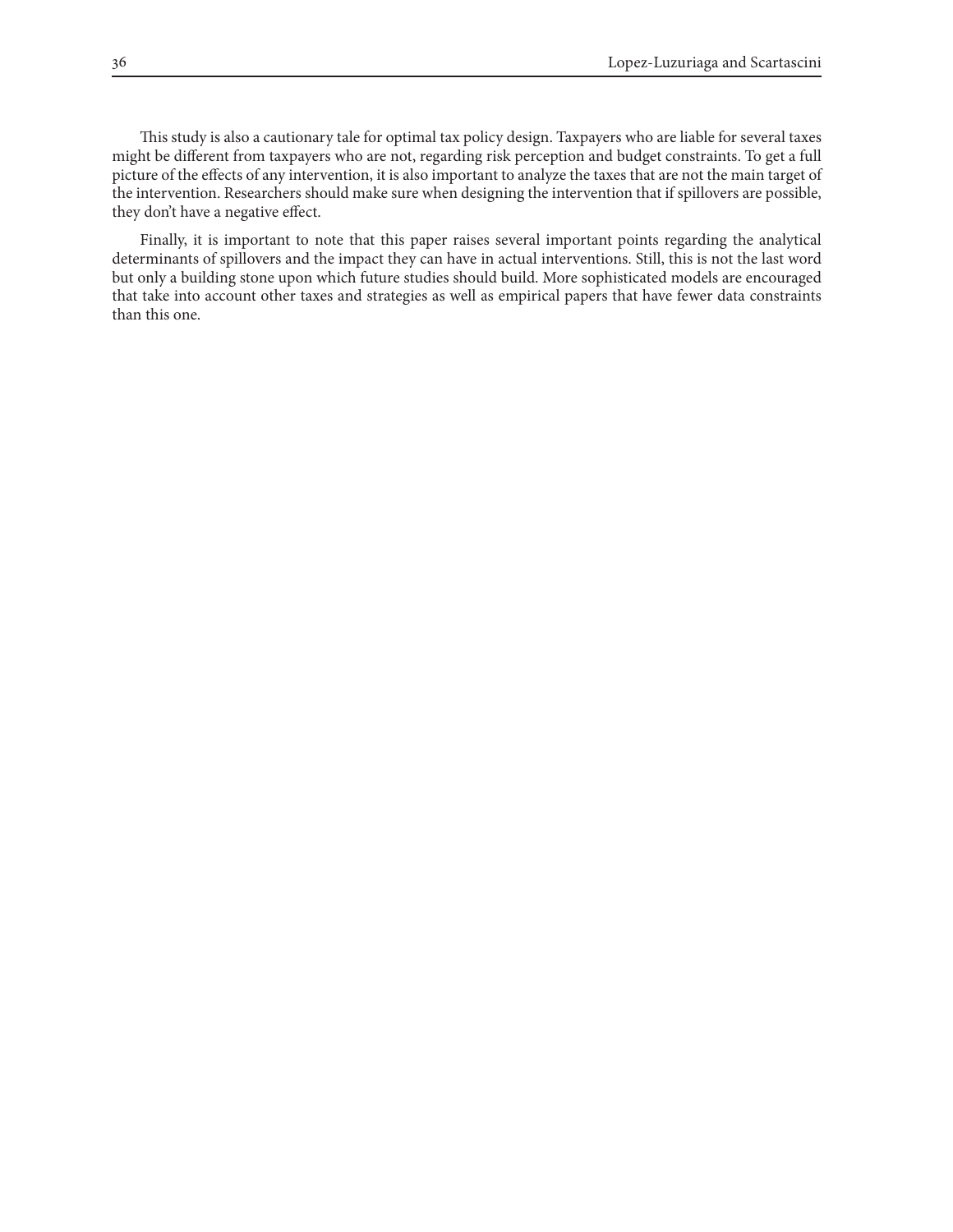This study is also a cautionary tale for optimal tax policy design. Taxpayers who are liable for several taxes might be different from taxpayers who are not, regarding risk perception and budget constraints. To get a full picture of the effects of any intervention, it is also important to analyze the taxes that are not the main target of the intervention. Researchers should make sure when designing the intervention that if spillovers are possible, they don't have a negative effect.

Finally, it is important to note that this paper raises several important points regarding the analytical determinants of spillovers and the impact they can have in actual interventions. Still, this is not the last word but only a building stone upon which future studies should build. More sophisticated models are encouraged that take into account other taxes and strategies as well as empirical papers that have fewer data constraints than this one.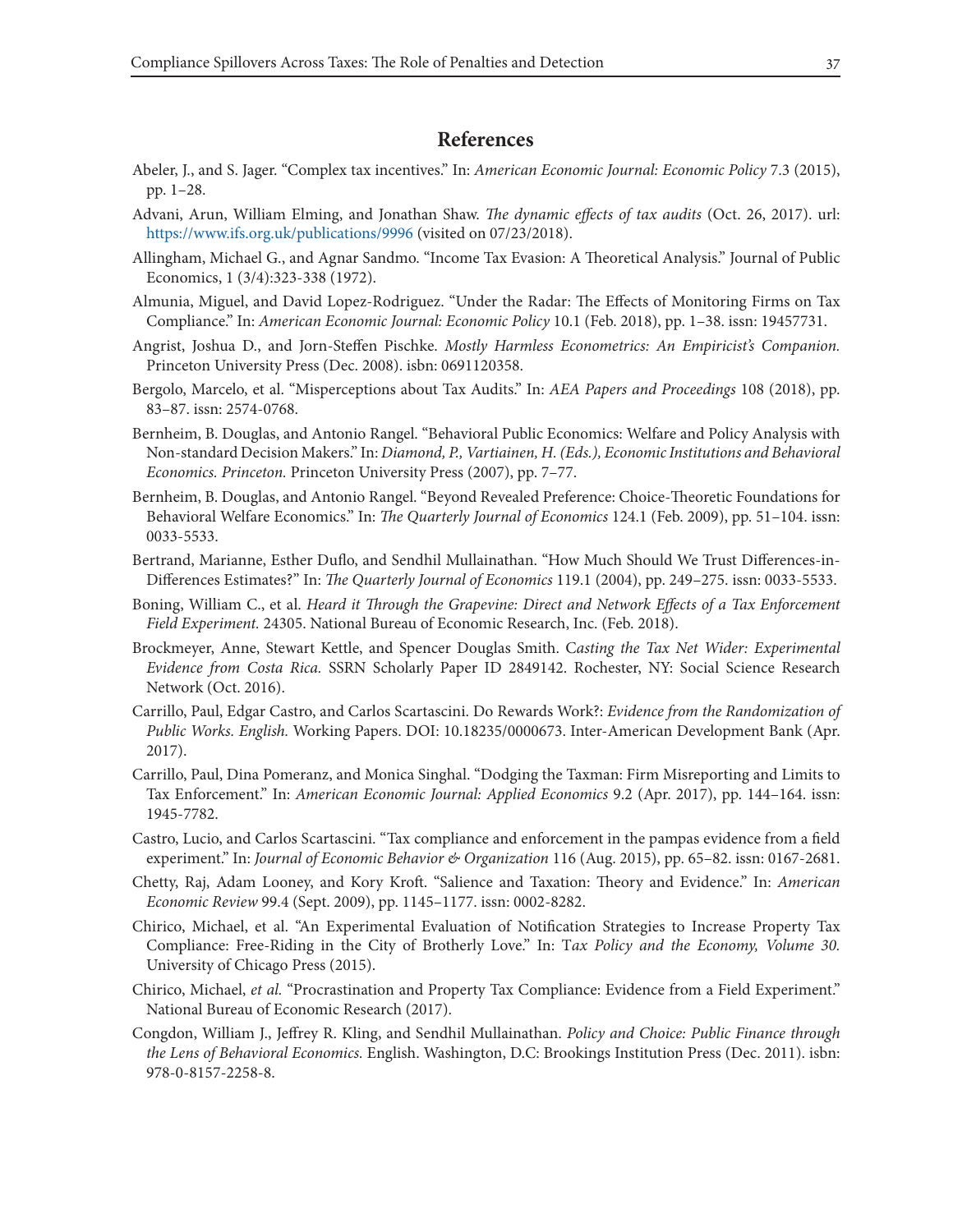# **References**

- Abeler, J., and S. Jager. "Complex tax incentives." In: *American Economic Journal: Economic Policy* 7.3 (2015), pp. 1–28.
- Advani, Arun, William Elming, and Jonathan Shaw. *The dynamic effects of tax audits* (Oct. 26, 2017). url: https://www.ifs.org.uk/publications/9996 (visited on 07/23/2018).
- Allingham, Michael G., and Agnar Sandmo. "Income Tax Evasion: A Theoretical Analysis." Journal of Public Economics, 1 (3/4):323-338 (1972).
- Almunia, Miguel, and David Lopez-Rodriguez. "Under the Radar: The Effects of Monitoring Firms on Tax Compliance." In: *American Economic Journal: Economic Policy* 10.1 (Feb. 2018), pp. 1–38. issn: 19457731.
- Angrist, Joshua D., and Jorn-Steffen Pischke. *Mostly Harmless Econometrics: An Empiricist's Companion.*  Princeton University Press (Dec. 2008). isbn: 0691120358.
- Bergolo, Marcelo, et al. "Misperceptions about Tax Audits." In: *AEA Papers and Proceedings* 108 (2018), pp. 83–87. issn: 2574-0768.
- Bernheim, B. Douglas, and Antonio Rangel. "Behavioral Public Economics: Welfare and Policy Analysis with Non-standard Decision Makers." In: *Diamond, P., Vartiainen, H. (Eds.), Economic Institutions and Behavioral Economics. Princeton.* Princeton University Press (2007), pp. 7–77.
- Bernheim, B. Douglas, and Antonio Rangel. "Beyond Revealed Preference: Choice-Theoretic Foundations for Behavioral Welfare Economics." In: *The Quarterly Journal of Economics* 124.1 (Feb. 2009), pp. 51–104. issn: 0033-5533.
- Bertrand, Marianne, Esther Duflo, and Sendhil Mullainathan. "How Much Should We Trust Differences-in-Differences Estimates?" In: *The Quarterly Journal of Economics* 119.1 (2004), pp. 249–275. issn: 0033-5533.
- Boning, William C., et al. *Heard it Through the Grapevine: Direct and Network Effects of a Tax Enforcement Field Experiment.* 24305. National Bureau of Economic Research, Inc. (Feb. 2018).
- Brockmeyer, Anne, Stewart Kettle, and Spencer Douglas Smith. C*asting the Tax Net Wider: Experimental Evidence from Costa Rica.* SSRN Scholarly Paper ID 2849142. Rochester, NY: Social Science Research Network (Oct. 2016).
- Carrillo, Paul, Edgar Castro, and Carlos Scartascini. Do Rewards Work?: *Evidence from the Randomization of Public Works. English.* Working Papers. DOI: 10.18235/0000673. Inter-American Development Bank (Apr. 2017).
- Carrillo, Paul, Dina Pomeranz, and Monica Singhal. "Dodging the Taxman: Firm Misreporting and Limits to Tax Enforcement." In: *American Economic Journal: Applied Economics* 9.2 (Apr. 2017), pp. 144–164. issn: 1945-7782.
- Castro, Lucio, and Carlos Scartascini. "Tax compliance and enforcement in the pampas evidence from a field experiment." In: *Journal of Economic Behavior & Organization* 116 (Aug. 2015), pp. 65–82. issn: 0167-2681.
- Chetty, Raj, Adam Looney, and Kory Kroft. "Salience and Taxation: Theory and Evidence." In: *American Economic Review* 99.4 (Sept. 2009), pp. 1145–1177. issn: 0002-8282.
- Chirico, Michael, et al. "An Experimental Evaluation of Notification Strategies to Increase Property Tax Compliance: Free-Riding in the City of Brotherly Love." In: T*ax Policy and the Economy, Volume 30.*  University of Chicago Press (2015).
- Chirico, Michael, *et al.* "Procrastination and Property Tax Compliance: Evidence from a Field Experiment." National Bureau of Economic Research (2017).
- Congdon, William J., Jeffrey R. Kling, and Sendhil Mullainathan. *Policy and Choice: Public Finance through the Lens of Behavioral Economics.* English. Washington, D.C: Brookings Institution Press (Dec. 2011). isbn: 978-0-8157-2258-8.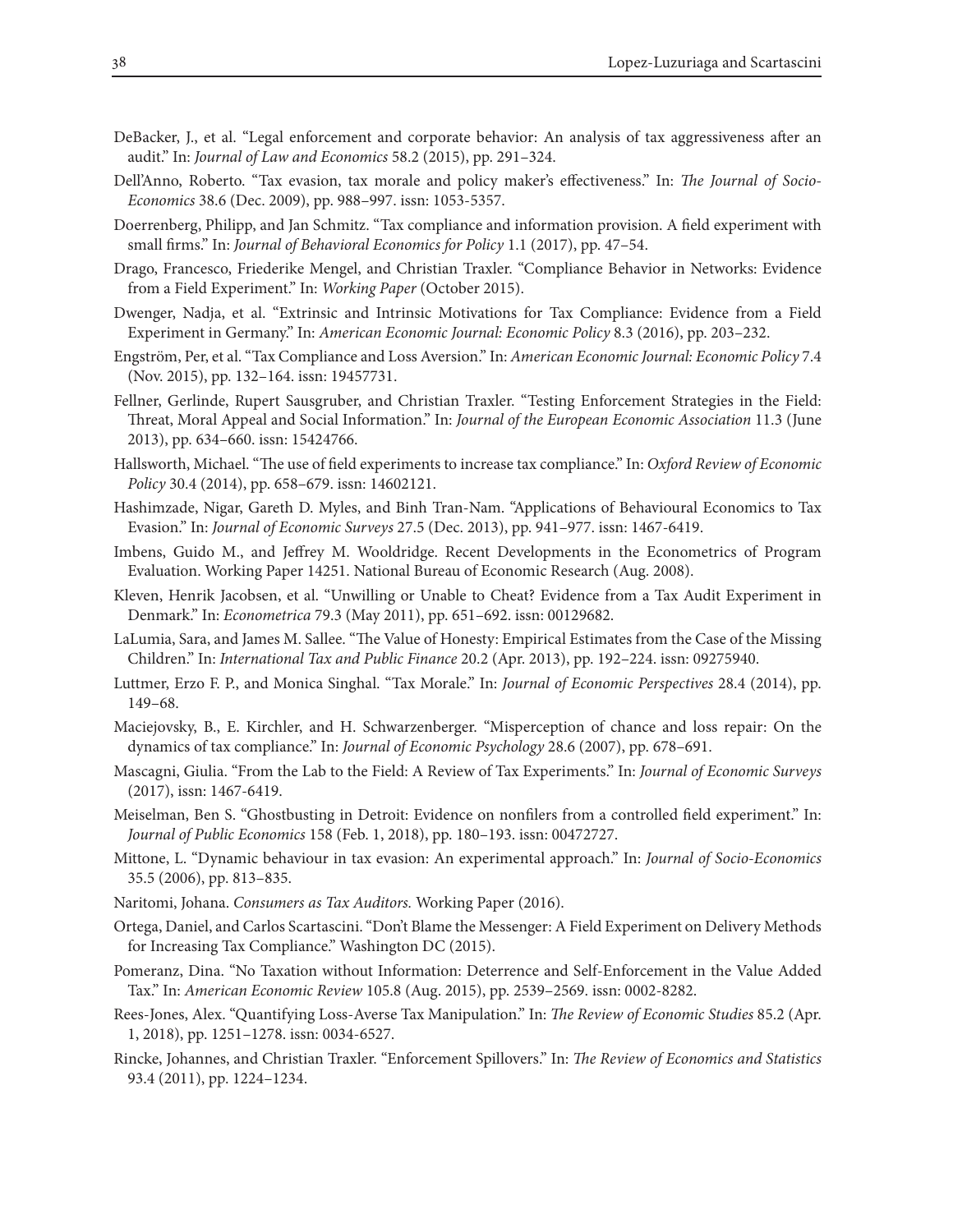- DeBacker, J., et al. "Legal enforcement and corporate behavior: An analysis of tax aggressiveness after an audit." In: *Journal of Law and Economics* 58.2 (2015), pp. 291–324.
- Dell'Anno, Roberto. "Tax evasion, tax morale and policy maker's effectiveness." In: *The Journal of Socio-Economics* 38.6 (Dec. 2009), pp. 988–997. issn: 1053-5357.
- Doerrenberg, Philipp, and Jan Schmitz. "Tax compliance and information provision. A field experiment with small firms." In: *Journal of Behavioral Economics for Policy* 1.1 (2017), pp. 47–54.
- Drago, Francesco, Friederike Mengel, and Christian Traxler. "Compliance Behavior in Networks: Evidence from a Field Experiment." In: *Working Paper* (October 2015).
- Dwenger, Nadja, et al. "Extrinsic and Intrinsic Motivations for Tax Compliance: Evidence from a Field Experiment in Germany." In: *American Economic Journal: Economic Policy* 8.3 (2016), pp. 203–232.
- Engström, Per, et al. "Tax Compliance and Loss Aversion." In: *American Economic Journal: Economic Policy* 7.4 (Nov. 2015), pp. 132–164. issn: 19457731.
- Fellner, Gerlinde, Rupert Sausgruber, and Christian Traxler. "Testing Enforcement Strategies in the Field: Threat, Moral Appeal and Social Information." In: *Journal of the European Economic Association* 11.3 (June 2013), pp. 634–660. issn: 15424766.
- Hallsworth, Michael. "The use of field experiments to increase tax compliance." In: *Oxford Review of Economic Policy* 30.4 (2014), pp. 658–679. issn: 14602121.
- Hashimzade, Nigar, Gareth D. Myles, and Binh Tran-Nam. "Applications of Behavioural Economics to Tax Evasion." In: *Journal of Economic Surveys* 27.5 (Dec. 2013), pp. 941–977. issn: 1467-6419.
- Imbens, Guido M., and Jeffrey M. Wooldridge. Recent Developments in the Econometrics of Program Evaluation. Working Paper 14251. National Bureau of Economic Research (Aug. 2008).
- Kleven, Henrik Jacobsen, et al. "Unwilling or Unable to Cheat? Evidence from a Tax Audit Experiment in Denmark." In: *Econometrica* 79.3 (May 2011), pp. 651–692. issn: 00129682.
- LaLumia, Sara, and James M. Sallee. "The Value of Honesty: Empirical Estimates from the Case of the Missing Children." In: *International Tax and Public Finance* 20.2 (Apr. 2013), pp. 192–224. issn: 09275940.
- Luttmer, Erzo F. P., and Monica Singhal. "Tax Morale." In: *Journal of Economic Perspectives* 28.4 (2014), pp. 149–68.
- Maciejovsky, B., E. Kirchler, and H. Schwarzenberger. "Misperception of chance and loss repair: On the dynamics of tax compliance." In: *Journal of Economic Psychology* 28.6 (2007), pp. 678–691.
- Mascagni, Giulia. "From the Lab to the Field: A Review of Tax Experiments." In: *Journal of Economic Surveys*  (2017), issn: 1467-6419.
- Meiselman, Ben S. "Ghostbusting in Detroit: Evidence on nonfilers from a controlled field experiment." In: *Journal of Public Economics* 158 (Feb. 1, 2018), pp. 180–193. issn: 00472727.
- Mittone, L. "Dynamic behaviour in tax evasion: An experimental approach." In: *Journal of Socio-Economics*  35.5 (2006), pp. 813–835.
- Naritomi, Johana. *Consumers as Tax Auditors.* Working Paper (2016).
- Ortega, Daniel, and Carlos Scartascini. "Don't Blame the Messenger: A Field Experiment on Delivery Methods for Increasing Tax Compliance." Washington DC (2015).
- Pomeranz, Dina. "No Taxation without Information: Deterrence and Self-Enforcement in the Value Added Tax." In: *American Economic Review* 105.8 (Aug. 2015), pp. 2539–2569. issn: 0002-8282.
- Rees-Jones, Alex. "Quantifying Loss-Averse Tax Manipulation." In: *The Review of Economic Studies* 85.2 (Apr. 1, 2018), pp. 1251–1278. issn: 0034-6527.
- Rincke, Johannes, and Christian Traxler. "Enforcement Spillovers." In: *The Review of Economics and Statistics* 93.4 (2011), pp. 1224–1234.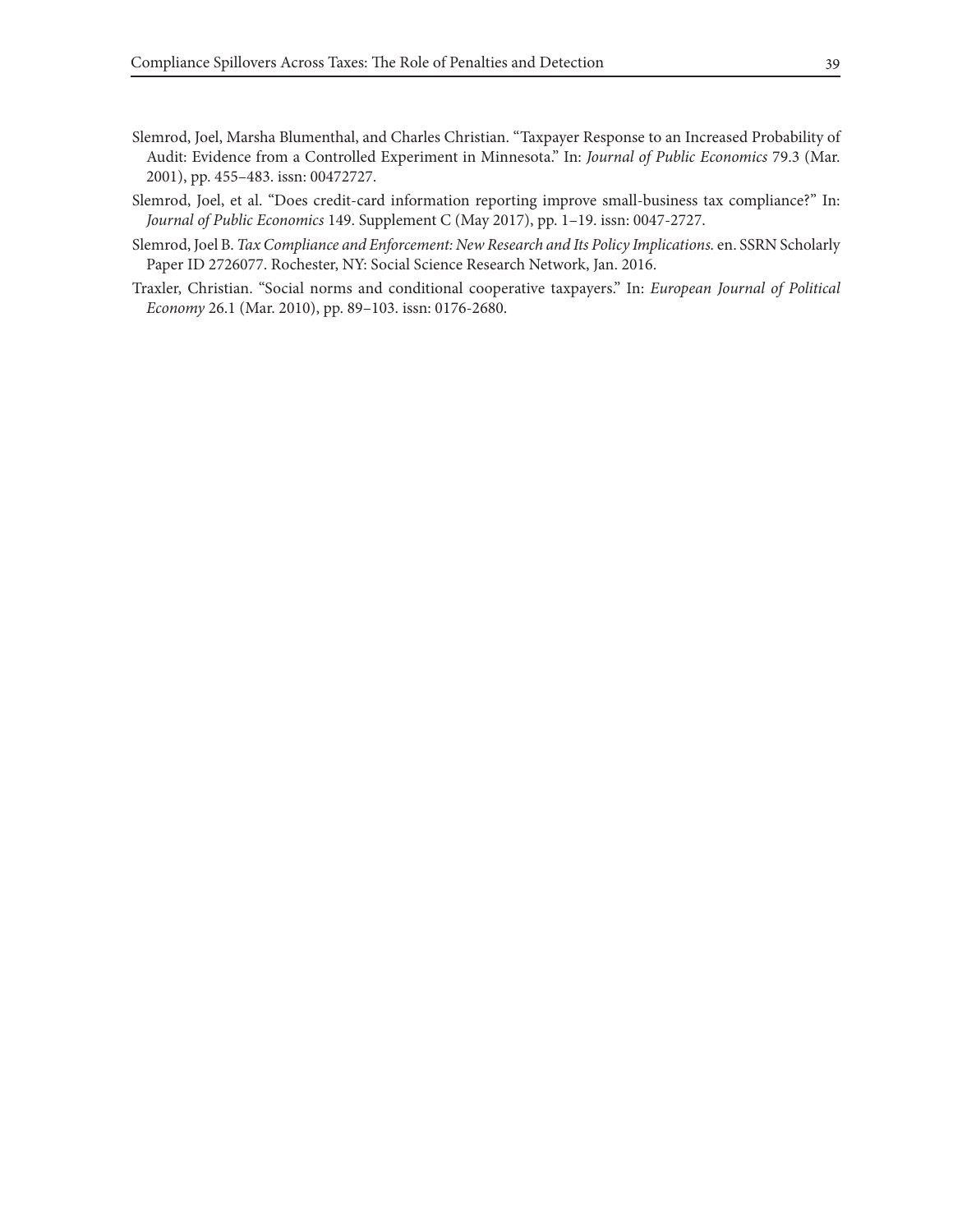- Slemrod, Joel, Marsha Blumenthal, and Charles Christian. "Taxpayer Response to an Increased Probability of Audit: Evidence from a Controlled Experiment in Minnesota." In: *Journal of Public Economics* 79.3 (Mar. 2001), pp. 455–483. issn: 00472727.
- Slemrod, Joel, et al. "Does credit-card information reporting improve small-business tax compliance?" In: *Journal of Public Economics* 149. Supplement C (May 2017), pp. 1–19. issn: 0047-2727.
- Slemrod, Joel B. *Tax Compliance and Enforcement: New Research and Its Policy Implications.* en. SSRN Scholarly Paper ID 2726077. Rochester, NY: Social Science Research Network, Jan. 2016.
- Traxler, Christian. "Social norms and conditional cooperative taxpayers." In: *European Journal of Political Economy* 26.1 (Mar. 2010), pp. 89–103. issn: 0176-2680.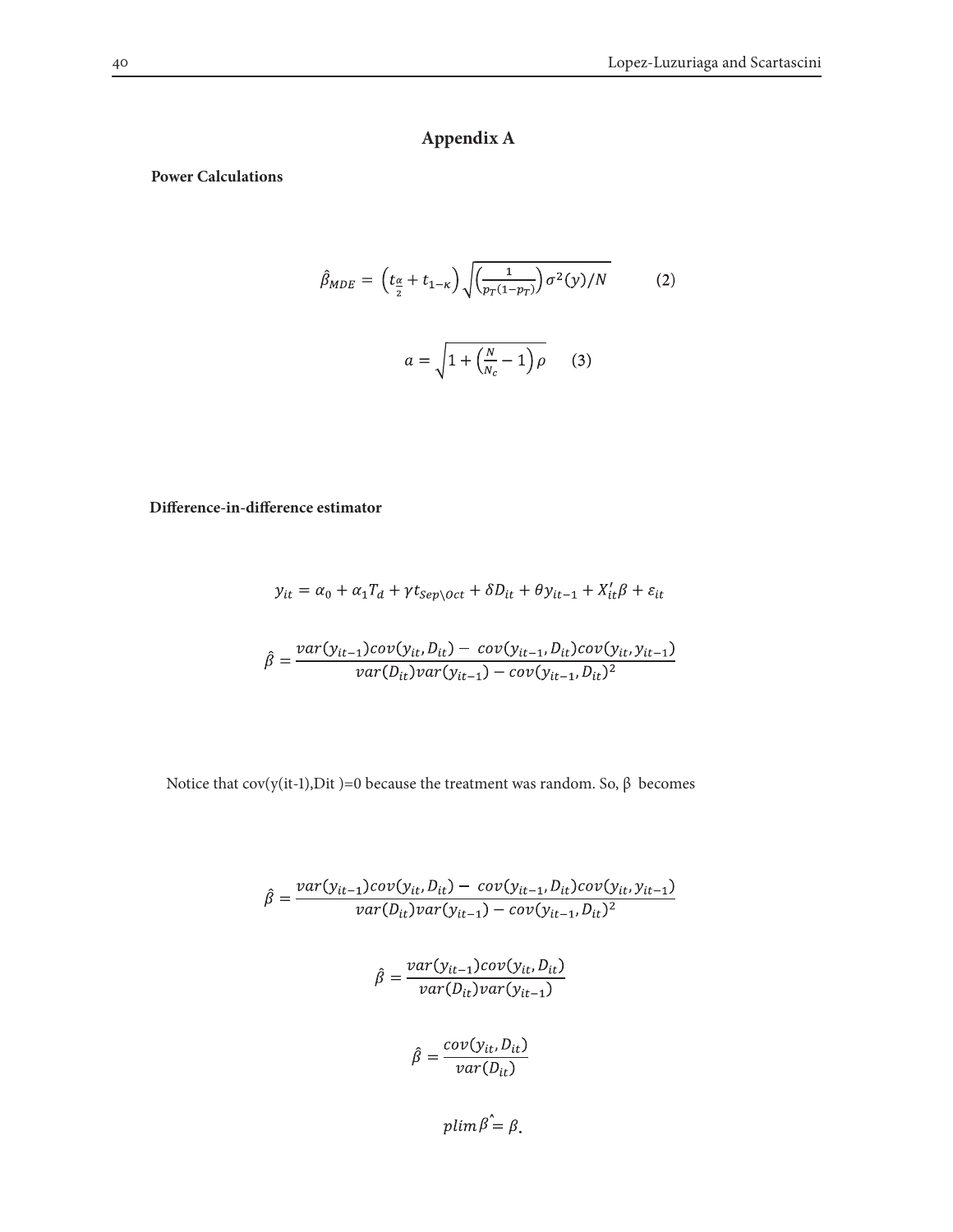# **Appendix A**

#### **Power Calculations**

$$
\hat{\beta}_{MDE} = \left(t_{\frac{\alpha}{2}} + t_{1-\kappa}\right) \sqrt{\left(\frac{1}{p_T(1-p_T)}\right) \sigma^2(y)/N}
$$
\n
$$
a = \sqrt{1 + \left(\frac{N}{N_c} - 1\right) \rho}
$$
\n(3)

## **Difference-in-difference estimator**

$$
y_{it} = \alpha_0 + \alpha_1 T_d + \gamma t_{sep\setminus Oct} + \delta D_{it} + \theta y_{it-1} + X_{it}'\beta + \varepsilon_{it}
$$

$$
\hat{\beta} = \frac{var(y_{it-1})cov(y_{it}, D_{it}) - cov(y_{it-1}, D_{it})cov(y_{it}, y_{it-1})}{var(D_{it})var(y_{it-1}) - cov(y_{it-1}, D_{it})^2}
$$

Notice that cov(y(it-1),Dit )=0 because the treatment was random. So, β becomes

$$
\hat{\beta} = \frac{var(y_{it-1})cov(y_{it}, D_{it}) - cov(y_{it-1}, D_{it})cov(y_{it}, y_{it-1})}{var(D_{it})var(y_{it-1}) - cov(y_{it-1}, D_{it})^2}
$$

$$
\hat{\beta} = \frac{var(y_{it-1})cov(y_{it}, D_{it})}{var(D_{it})var(y_{it-1})}
$$

$$
\hat{\beta} = \frac{cov(y_{it}, D_{it})}{var(D_{it})}
$$

 $plim \hat{\beta} = \beta.$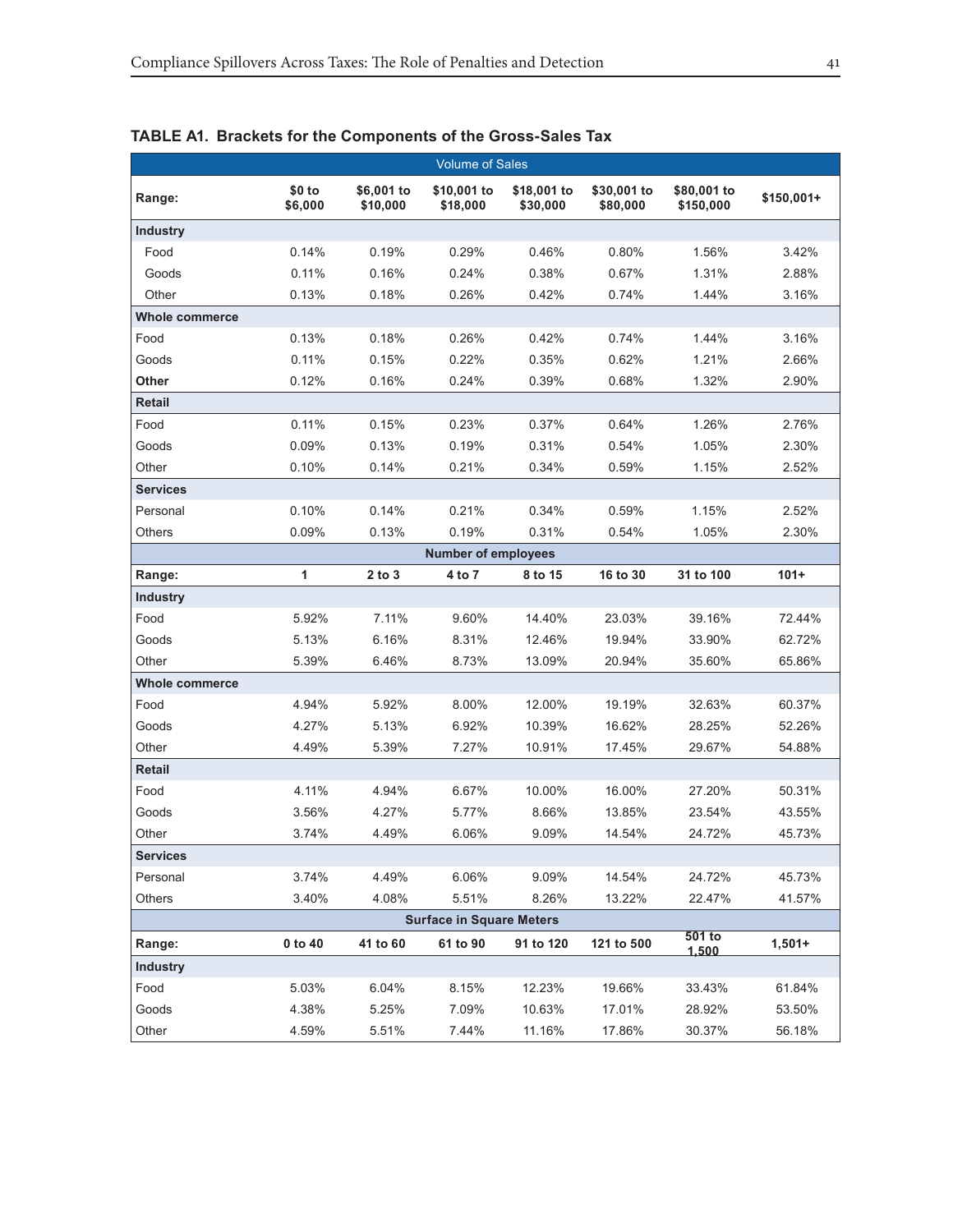|                 |                   |                        | <b>Volume of Sales</b>          |                         |                         |                          |             |
|-----------------|-------------------|------------------------|---------------------------------|-------------------------|-------------------------|--------------------------|-------------|
| Range:          | \$0 to<br>\$6,000 | \$6,001 to<br>\$10,000 | \$10,001 to<br>\$18,000         | \$18,001 to<br>\$30,000 | \$30,001 to<br>\$80,000 | \$80,001 to<br>\$150,000 | $$150,001+$ |
| <b>Industry</b> |                   |                        |                                 |                         |                         |                          |             |
| Food            | 0.14%             | 0.19%                  | 0.29%                           | 0.46%                   | 0.80%                   | 1.56%                    | 3.42%       |
| Goods           | 0.11%             | 0.16%                  | 0.24%                           | 0.38%                   | 0.67%                   | 1.31%                    | 2.88%       |
| Other           | 0.13%             | 0.18%                  | 0.26%                           | 0.42%                   | 0.74%                   | 1.44%                    | 3.16%       |
| Whole commerce  |                   |                        |                                 |                         |                         |                          |             |
| Food            | 0.13%             | 0.18%                  | 0.26%                           | 0.42%                   | 0.74%                   | 1.44%                    | 3.16%       |
| Goods           | 0.11%             | 0.15%                  | 0.22%                           | 0.35%                   | 0.62%                   | 1.21%                    | 2.66%       |
| Other           | 0.12%             | 0.16%                  | 0.24%                           | 0.39%                   | 0.68%                   | 1.32%                    | 2.90%       |
| Retail          |                   |                        |                                 |                         |                         |                          |             |
| Food            | 0.11%             | 0.15%                  | 0.23%                           | 0.37%                   | 0.64%                   | 1.26%                    | 2.76%       |
| Goods           | 0.09%             | 0.13%                  | 0.19%                           | 0.31%                   | 0.54%                   | 1.05%                    | 2.30%       |
| Other           | 0.10%             | 0.14%                  | 0.21%                           | 0.34%                   | 0.59%                   | 1.15%                    | 2.52%       |
| <b>Services</b> |                   |                        |                                 |                         |                         |                          |             |
| Personal        | 0.10%             | 0.14%                  | 0.21%                           | 0.34%                   | 0.59%                   | 1.15%                    | 2.52%       |
| Others          | 0.09%             | 0.13%                  | 0.19%                           | 0.31%                   | 0.54%                   | 1.05%                    | 2.30%       |
|                 |                   |                        | <b>Number of employees</b>      |                         |                         |                          |             |
| Range:          | 1                 | $2$ to $3$             | 4 to 7                          | 8 to 15                 | 16 to 30                | 31 to 100                | $101+$      |
| <b>Industry</b> |                   |                        |                                 |                         |                         |                          |             |
| Food            | 5.92%             | 7.11%                  | 9.60%                           | 14.40%                  | 23.03%                  | 39.16%                   | 72.44%      |
| Goods           | 5.13%             | 6.16%                  | 8.31%                           | 12.46%                  | 19.94%                  | 33.90%                   | 62.72%      |
| Other           | 5.39%             | 6.46%                  | 8.73%                           | 13.09%                  | 20.94%                  | 35.60%                   | 65.86%      |
| Whole commerce  |                   |                        |                                 |                         |                         |                          |             |
| Food            | 4.94%             | 5.92%                  | 8.00%                           | 12.00%                  | 19.19%                  | 32.63%                   | 60.37%      |
| Goods           | 4.27%             | 5.13%                  | 6.92%                           | 10.39%                  | 16.62%                  | 28.25%                   | 52.26%      |
| Other           | 4.49%             | 5.39%                  | 7.27%                           | 10.91%                  | 17.45%                  | 29.67%                   | 54.88%      |
| Retail          |                   |                        |                                 |                         |                         |                          |             |
| Food            | 4.11%             | 4.94%                  | 6.67%                           | 10.00%                  | 16.00%                  | 27.20%                   | 50.31%      |
| Goods           | 3.56%             | 4.27%                  | 5.77%                           | 8.66%                   | 13.85%                  | 23.54%                   | 43.55%      |
| Other           | 3.74%             | 4.49%                  | 6.06%                           | 9.09%                   | 14.54%                  | 24.72%                   | 45.73%      |
| <b>Services</b> |                   |                        |                                 |                         |                         |                          |             |
| Personal        | 3.74%             | 4.49%                  | 6.06%                           | 9.09%                   | 14.54%                  | 24.72%                   | 45.73%      |
| <b>Others</b>   | 3.40%             | 4.08%                  | 5.51%                           | 8.26%                   | 13.22%                  | 22.47%                   | 41.57%      |
|                 |                   |                        | <b>Surface in Square Meters</b> |                         |                         |                          |             |
| Range:          | 0 to 40           | 41 to 60               | 61 to 90                        | 91 to 120               | 121 to 500              | 501 to<br>1,500          | $1,501+$    |
| Industry        |                   |                        |                                 |                         |                         |                          |             |
| Food            | 5.03%             | 6.04%                  | 8.15%                           | 12.23%                  | 19.66%                  | 33.43%                   | 61.84%      |
| Goods           | 4.38%             | 5.25%                  | 7.09%                           | 10.63%                  | 17.01%                  | 28.92%                   | 53.50%      |
| Other           | 4.59%             | 5.51%                  | 7.44%                           | 11.16%                  | 17.86%                  | 30.37%                   | 56.18%      |

# **TABLE A1. Brackets for the Components of the Gross-Sales Tax**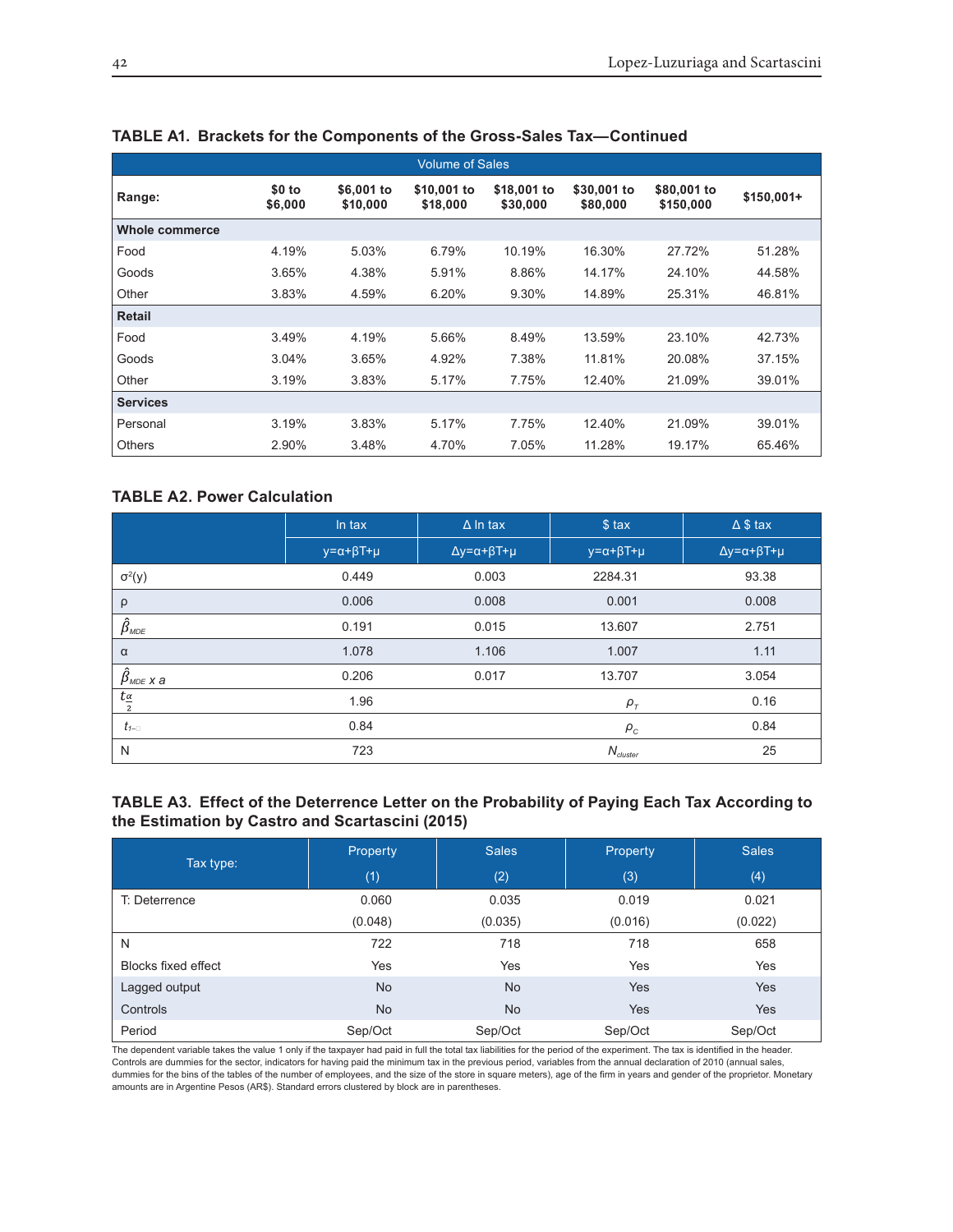| <b>Volume of Sales</b> |                   |                        |                         |                         |                         |                          |             |  |
|------------------------|-------------------|------------------------|-------------------------|-------------------------|-------------------------|--------------------------|-------------|--|
| Range:                 | \$0 to<br>\$6,000 | \$6,001 to<br>\$10,000 | \$10,001 to<br>\$18,000 | \$18,001 to<br>\$30,000 | \$30,001 to<br>\$80,000 | \$80,001 to<br>\$150,000 | $$150,001+$ |  |
| <b>Whole commerce</b>  |                   |                        |                         |                         |                         |                          |             |  |
| Food                   | 4.19%             | 5.03%                  | 6.79%                   | 10.19%                  | 16.30%                  | 27.72%                   | 51.28%      |  |
| Goods                  | 3.65%             | 4.38%                  | 5.91%                   | 8.86%                   | 14.17%                  | 24.10%                   | 44.58%      |  |
| Other                  | 3.83%             | 4.59%                  | 6.20%                   | 9.30%                   | 14.89%                  | 25.31%                   | 46.81%      |  |
| <b>Retail</b>          |                   |                        |                         |                         |                         |                          |             |  |
| Food                   | 3.49%             | 4.19%                  | 5.66%                   | 8.49%                   | 13.59%                  | 23.10%                   | 42.73%      |  |
| Goods                  | 3.04%             | 3.65%                  | 4.92%                   | 7.38%                   | 11.81%                  | 20.08%                   | 37.15%      |  |
| Other                  | 3.19%             | 3.83%                  | 5.17%                   | 7.75%                   | 12.40%                  | 21.09%                   | 39.01%      |  |
| <b>Services</b>        |                   |                        |                         |                         |                         |                          |             |  |
| Personal               | 3.19%             | 3.83%                  | 5.17%                   | 7.75%                   | 12.40%                  | 21.09%                   | 39.01%      |  |
| <b>Others</b>          | 2.90%             | 3.48%                  | 4.70%                   | 7.05%                   | 11.28%                  | 19.17%                   | 65.46%      |  |

#### **TABLE A1. Brackets for the Components of the Gross-Sales Tax—Continued**

## **TABLE A2. Power Calculation**

|                                      | In tax                       | $\Delta$ In tax                     | \$ tax                       | $\triangle$ \$ tax                  |
|--------------------------------------|------------------------------|-------------------------------------|------------------------------|-------------------------------------|
|                                      | $y = \alpha + \beta T + \mu$ | $\Delta y = \alpha + \beta T + \mu$ | $y = \alpha + \beta T + \mu$ | $\Delta y = \alpha + \beta T + \mu$ |
| $\sigma^2(y)$                        | 0.449                        | 0.003                               | 2284.31                      | 93.38                               |
| $\rho$                               | 0.006                        | 0.008                               | 0.001                        | 0.008                               |
| $\hat{\beta}_{\text{\tiny MDE}}$     | 0.191                        | 0.015                               | 13.607                       | 2.751                               |
| $\alpha$                             | 1.078                        | 1.106                               | 1.007                        | 1.11                                |
| $\hat{\beta}_{\text{\tiny MDE X a}}$ | 0.206                        | 0.017                               | 13.707                       | 3.054                               |
| $t_{\frac{\alpha}{2}}$               | 1.96                         |                                     | $\rho_{\tau}$                | 0.16                                |
| $t_{1-}$                             | 0.84                         |                                     | $\rho_c$                     | 0.84                                |
| N                                    | 723                          |                                     | $N_{cluster}$                | 25                                  |

#### **TABLE A3. Effect of the Deterrence Letter on the Probability of Paying Each Tax According to the Estimation by Castro and Scartascini (2015)**

|                     | <b>Property</b> | <b>Sales</b> | Property | <b>Sales</b> |
|---------------------|-----------------|--------------|----------|--------------|
| Tax type:           | (1)             | (2)          | (3)      | (4)          |
| T: Deterrence       | 0.060           | 0.035        | 0.019    | 0.021        |
|                     | (0.048)         | (0.035)      | (0.016)  | (0.022)      |
| N                   | 722             | 718          | 718      | 658          |
| Blocks fixed effect | Yes             | Yes          | Yes      | Yes          |
| Lagged output       | <b>No</b>       | <b>No</b>    | Yes      | Yes          |
| Controls            | <b>No</b>       | <b>No</b>    | Yes      | <b>Yes</b>   |
| Period              | Sep/Oct         | Sep/Oct      | Sep/Oct  | Sep/Oct      |

The dependent variable takes the value 1 only if the taxpayer had paid in full the total tax liabilities for the period of the experiment. The tax is identified in the header. Controls are dummies for the sector, indicators for having paid the minimum tax in the previous period, variables from the annual declaration of 2010 (annual sales, dummies for the bins of the tables of the number of employees, and the size of the store in square meters), age of the firm in years and gender of the proprietor. Monetary amounts are in Argentine Pesos (AR\$). Standard errors clustered by block are in parentheses.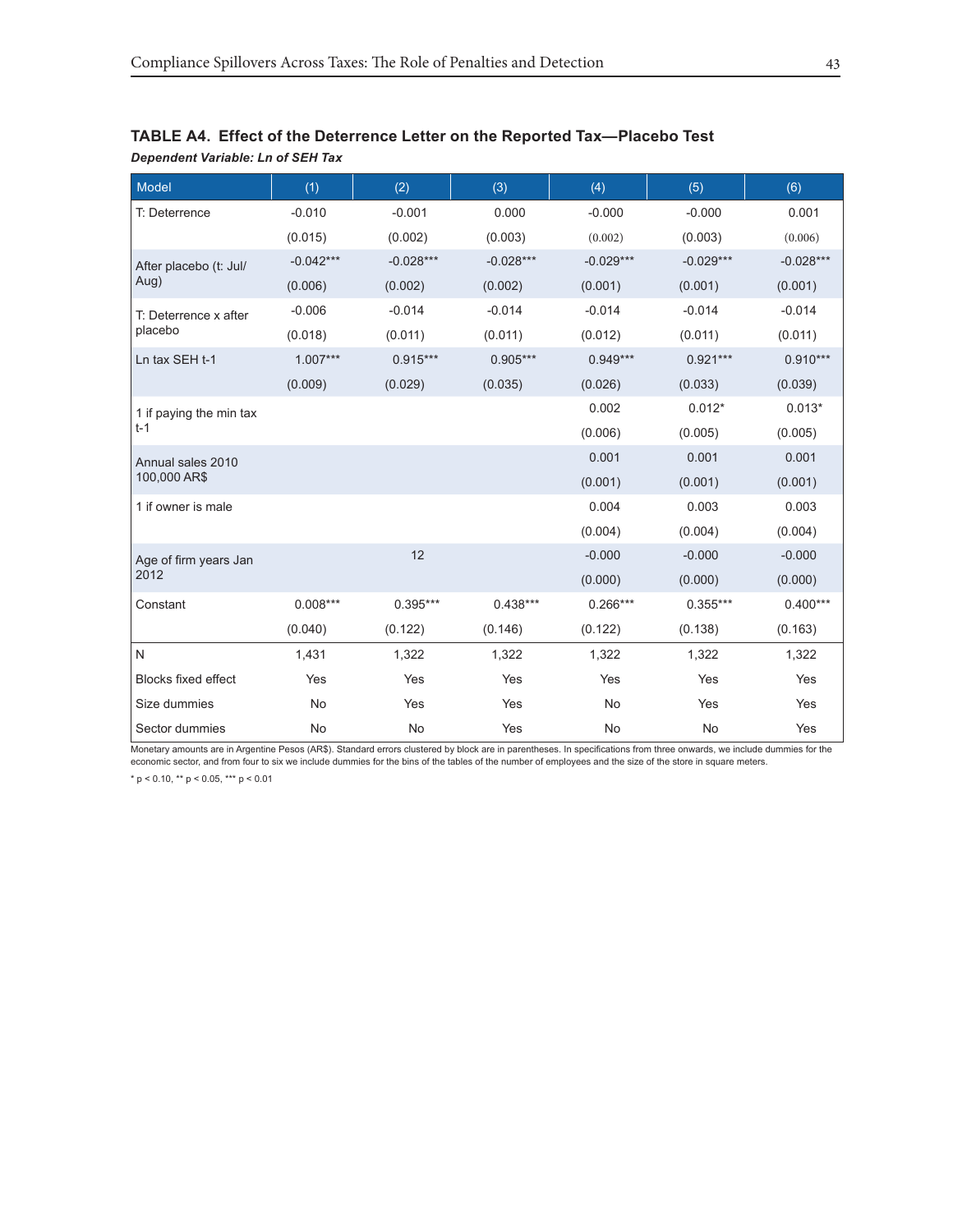| <b>Model</b>               | (1)         | (2)         | (3)         | (4)         | (5)         | (6)         |
|----------------------------|-------------|-------------|-------------|-------------|-------------|-------------|
| T: Deterrence              | $-0.010$    | $-0.001$    | 0.000       | $-0.000$    | $-0.000$    | 0.001       |
|                            | (0.015)     | (0.002)     | (0.003)     | (0.002)     | (0.003)     | (0.006)     |
| After placebo (t: Jul/     | $-0.042***$ | $-0.028***$ | $-0.028***$ | $-0.029***$ | $-0.029***$ | $-0.028***$ |
| Aug)                       | (0.006)     | (0.002)     | (0.002)     | (0.001)     | (0.001)     | (0.001)     |
| T: Deterrence x after      | $-0.006$    | $-0.014$    | $-0.014$    | $-0.014$    | $-0.014$    | $-0.014$    |
| placebo                    | (0.018)     | (0.011)     | (0.011)     | (0.012)     | (0.011)     | (0.011)     |
| Ln tax SEH t-1             | $1.007***$  | $0.915***$  | $0.905***$  | $0.949***$  | $0.921***$  | $0.910***$  |
|                            | (0.009)     | (0.029)     | (0.035)     | (0.026)     | (0.033)     | (0.039)     |
| 1 if paying the min tax    |             |             |             | 0.002       | $0.012*$    | $0.013*$    |
| $t-1$                      |             |             |             | (0.006)     | (0.005)     | (0.005)     |
| Annual sales 2010          |             |             |             | 0.001       | 0.001       | 0.001       |
| 100,000 AR\$               |             |             |             | (0.001)     | (0.001)     | (0.001)     |
| 1 if owner is male         |             |             |             | 0.004       | 0.003       | 0.003       |
|                            |             |             |             | (0.004)     | (0.004)     | (0.004)     |
| Age of firm years Jan      |             | 12          |             | $-0.000$    | $-0.000$    | $-0.000$    |
| 2012                       |             |             |             | (0.000)     | (0.000)     | (0.000)     |
| Constant                   | $0.008***$  | $0.395***$  | $0.438***$  | $0.266***$  | $0.355***$  | $0.400***$  |
|                            | (0.040)     | (0.122)     | (0.146)     | (0.122)     | (0.138)     | (0.163)     |
| N                          | 1,431       | 1,322       | 1,322       | 1,322       | 1,322       | 1,322       |
| <b>Blocks fixed effect</b> | Yes         | Yes         | Yes         | Yes         | Yes         | Yes         |
| Size dummies               | <b>No</b>   | Yes         | Yes         | No          | Yes         | Yes         |
| Sector dummies             | <b>No</b>   | No          | Yes         | No          | No          | Yes         |

## **TABLE A4. Effect of the Deterrence Letter on the Reported Tax—Placebo Test** *Dependent Variable: Ln of SEH Tax*

Monetary amounts are in Argentine Pesos (AR\$). Standard errors clustered by block are in parentheses. In specifications from three onwards, we include dummies for the economic sector, and from four to six we include dummies for the bins of the tables of the number of employees and the size of the store in square meters.

\* p < 0.10, \*\* p < 0.05, \*\*\* p < 0.01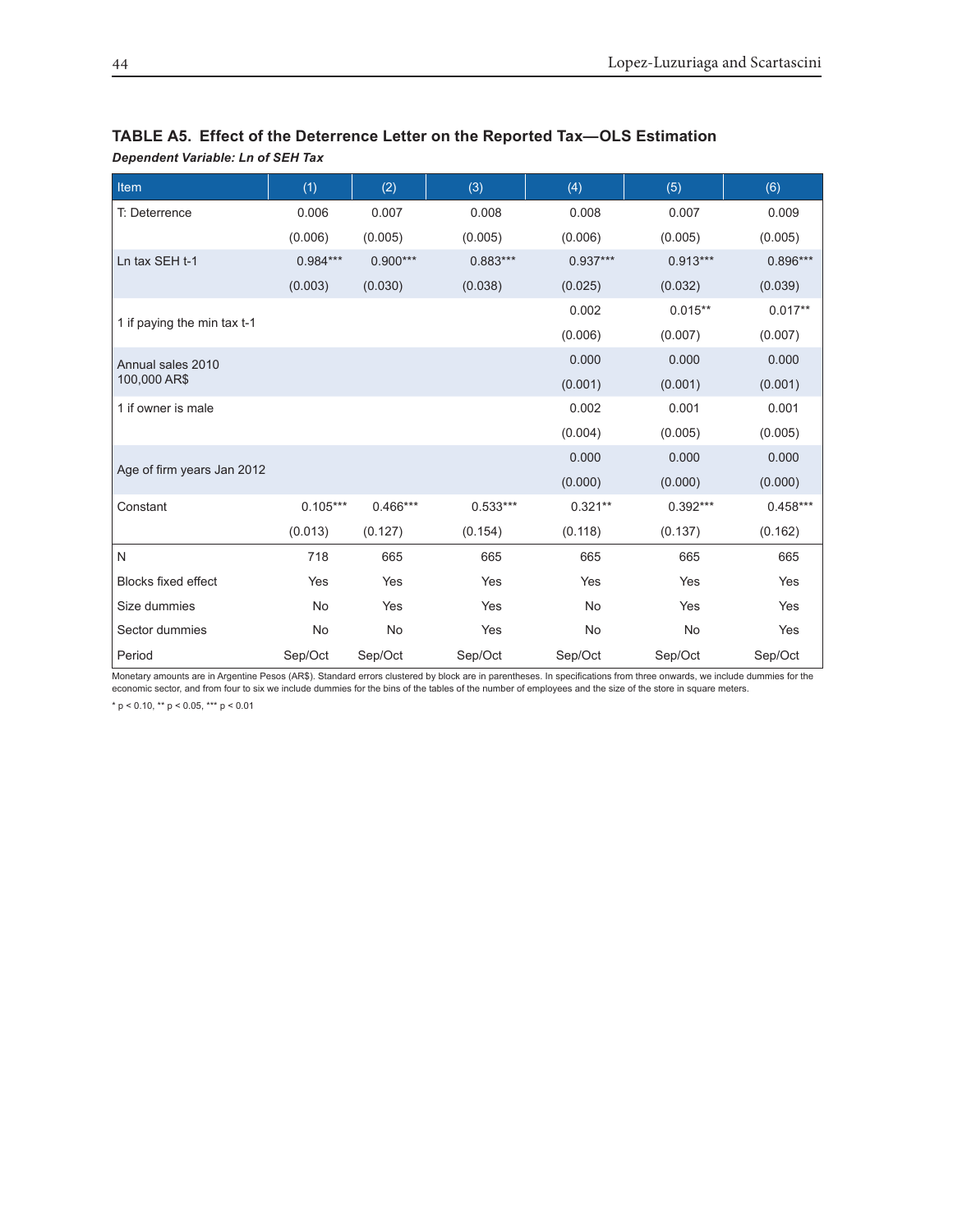| Item                        | (1)        | (2)        | (3)        | (4)        | (5)        | (6)        |
|-----------------------------|------------|------------|------------|------------|------------|------------|
| T: Deterrence               | 0.006      | 0.007      | 0.008      | 0.008      | 0.007      | 0.009      |
|                             | (0.006)    | (0.005)    | (0.005)    | (0.006)    | (0.005)    | (0.005)    |
| Ln tax SEH t-1              | $0.984***$ | $0.900***$ | $0.883***$ | $0.937***$ | $0.913***$ | $0.896***$ |
|                             | (0.003)    | (0.030)    | (0.038)    | (0.025)    | (0.032)    | (0.039)    |
|                             |            |            |            | 0.002      | $0.015**$  | $0.017**$  |
| 1 if paying the min tax t-1 |            |            |            | (0.006)    | (0.007)    | (0.007)    |
| Annual sales 2010           |            |            |            | 0.000      | 0.000      | 0.000      |
| 100,000 AR\$                |            |            |            | (0.001)    | (0.001)    | (0.001)    |
| 1 if owner is male          |            |            |            | 0.002      | 0.001      | 0.001      |
|                             |            |            |            | (0.004)    | (0.005)    | (0.005)    |
|                             |            |            |            | 0.000      | 0.000      | 0.000      |
| Age of firm years Jan 2012  |            |            |            | (0.000)    | (0.000)    | (0.000)    |
| Constant                    | $0.105***$ | $0.466***$ | $0.533***$ | $0.321**$  | $0.392***$ | $0.458***$ |
|                             | (0.013)    | (0.127)    | (0.154)    | (0.118)    | (0.137)    | (0.162)    |
| N                           | 718        | 665        | 665        | 665        | 665        | 665        |
| <b>Blocks fixed effect</b>  | Yes        | Yes        | Yes        | Yes        | Yes        | Yes        |
| Size dummies                | No         | Yes        | Yes        | <b>No</b>  | Yes        | Yes        |
| Sector dummies              | <b>No</b>  | <b>No</b>  | Yes        | <b>No</b>  | <b>No</b>  | Yes        |
| Period                      | Sep/Oct    | Sep/Oct    | Sep/Oct    | Sep/Oct    | Sep/Oct    | Sep/Oct    |

## **TABLE A5. Effect of the Deterrence Letter on the Reported Tax—OLS Estimation**

Monetary amounts are in Argentine Pesos (AR\$). Standard errors clustered by block are in parentheses. In specifications from three onwards, we include dummies for the economic sector, and from four to six we include dummies for the bins of the tables of the number of employees and the size of the store in square meters.

\* p < 0.10, \*\* p < 0.05, \*\*\* p < 0.01

*Dependent Variable: Ln of SEH Tax*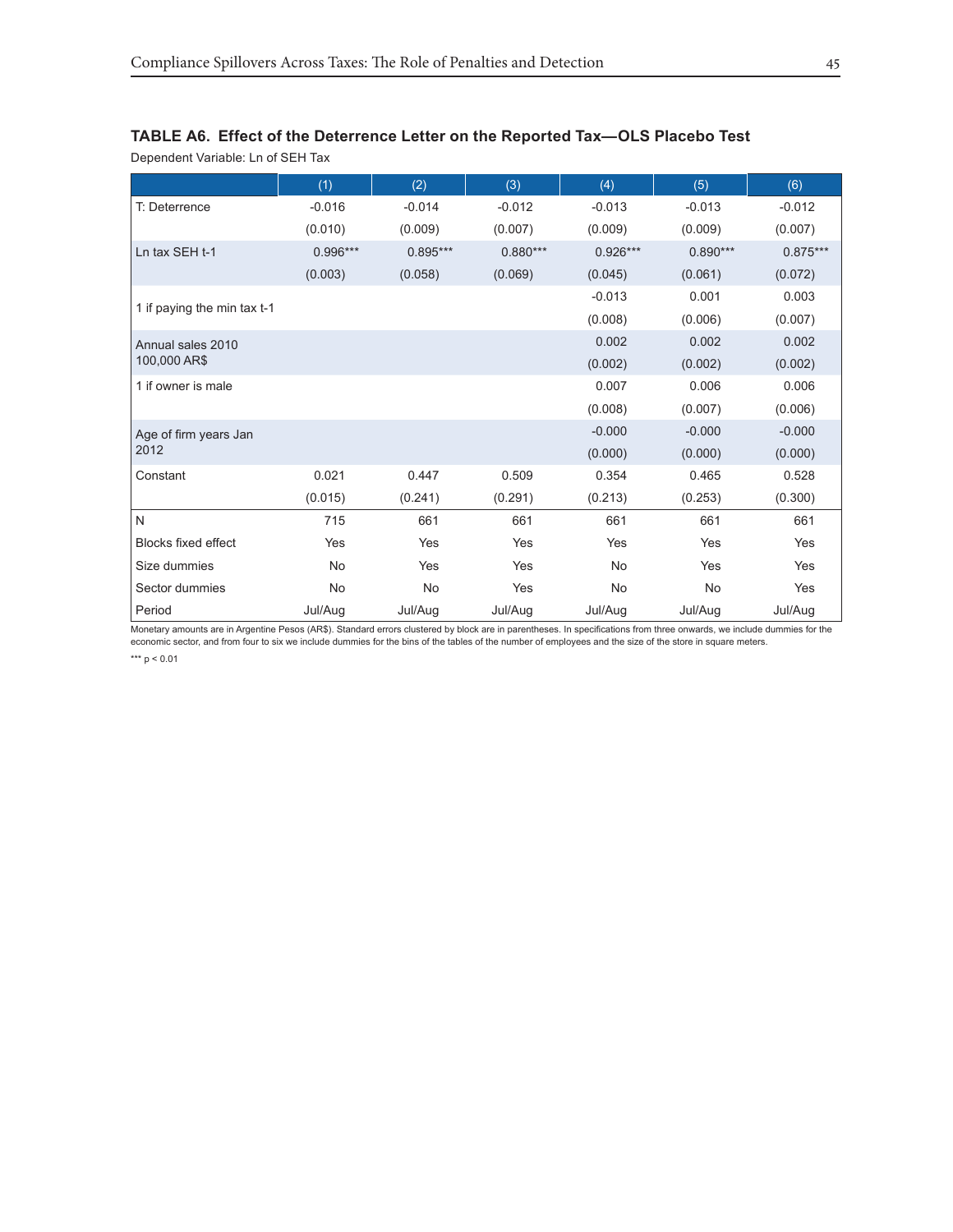## **TABLE A6. Effect of the Deterrence Letter on the Reported Tax—OLS Placebo Test**

Dependent Variable: Ln of SEH Tax

|                             | (1)        | (2)        | (3)        | (4)        | (5)        | (6)        |
|-----------------------------|------------|------------|------------|------------|------------|------------|
| T: Deterrence               | $-0.016$   | $-0.014$   | $-0.012$   | $-0.013$   | $-0.013$   | $-0.012$   |
|                             | (0.010)    | (0.009)    | (0.007)    | (0.009)    | (0.009)    | (0.007)    |
| Ln tax SEH t-1              | $0.996***$ | $0.895***$ | $0.880***$ | $0.926***$ | $0.890***$ | $0.875***$ |
|                             | (0.003)    | (0.058)    | (0.069)    | (0.045)    | (0.061)    | (0.072)    |
|                             |            |            |            | $-0.013$   | 0.001      | 0.003      |
| 1 if paying the min tax t-1 |            |            |            | (0.008)    | (0.006)    | (0.007)    |
| Annual sales 2010           |            |            |            | 0.002      | 0.002      | 0.002      |
| 100,000 AR\$                |            |            |            | (0.002)    | (0.002)    | (0.002)    |
| 1 if owner is male          |            |            |            | 0.007      | 0.006      | 0.006      |
|                             |            |            |            | (0.008)    | (0.007)    | (0.006)    |
| Age of firm years Jan       |            |            |            | $-0.000$   | $-0.000$   | $-0.000$   |
| 2012                        |            |            |            | (0.000)    | (0.000)    | (0.000)    |
| Constant                    | 0.021      | 0.447      | 0.509      | 0.354      | 0.465      | 0.528      |
|                             | (0.015)    | (0.241)    | (0.291)    | (0.213)    | (0.253)    | (0.300)    |
| N                           | 715        | 661        | 661        | 661        | 661        | 661        |
| <b>Blocks fixed effect</b>  | Yes        | Yes        | Yes        | Yes        | Yes        | Yes        |
| Size dummies                | <b>No</b>  | Yes        | Yes        | <b>No</b>  | Yes        | Yes        |
| Sector dummies              | <b>No</b>  | <b>No</b>  | Yes        | No         | No         | Yes        |
| Period                      | Jul/Aug    | Jul/Aug    | Jul/Aug    | Jul/Aug    | Jul/Aug    | Jul/Aug    |

Monetary amounts are in Argentine Pesos (AR\$). Standard errors clustered by block are in parentheses. In specifications from three onwards, we include dummies for the economic sector, and from four to six we include dummies for the bins of the tables of the number of employees and the size of the store in square meters.

\*\*\* p < 0.01